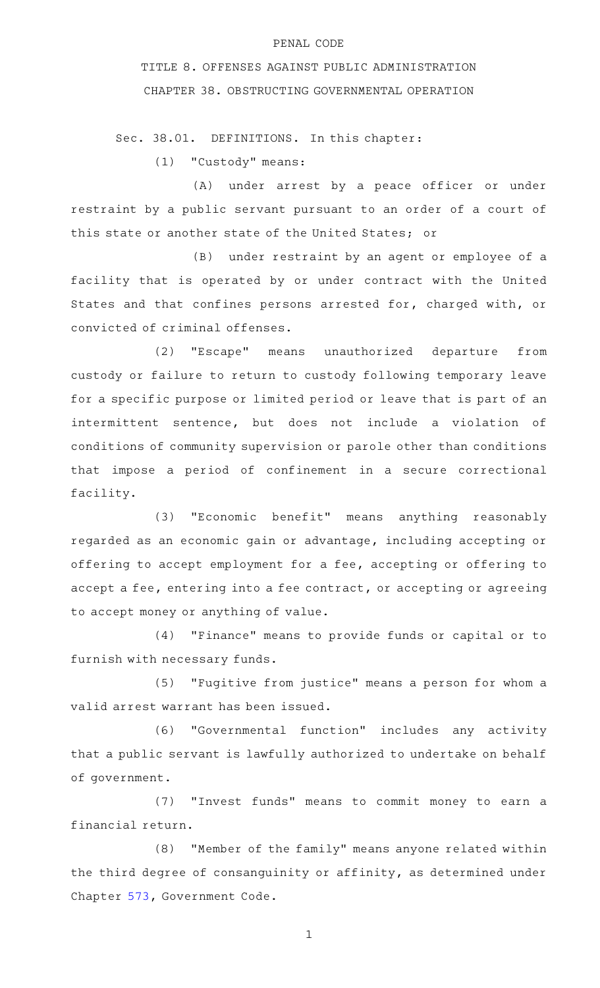## PENAL CODE

TITLE 8. OFFENSES AGAINST PUBLIC ADMINISTRATION CHAPTER 38. OBSTRUCTING GOVERNMENTAL OPERATION

Sec. 38.01. DEFINITIONS. In this chapter:

 $(1)$  "Custody" means:

(A) under arrest by a peace officer or under restraint by a public servant pursuant to an order of a court of this state or another state of the United States; or

(B) under restraint by an agent or employee of a facility that is operated by or under contract with the United States and that confines persons arrested for, charged with, or convicted of criminal offenses.

(2) "Escape" means unauthorized departure from custody or failure to return to custody following temporary leave for a specific purpose or limited period or leave that is part of an intermittent sentence, but does not include a violation of conditions of community supervision or parole other than conditions that impose a period of confinement in a secure correctional facility.

(3) "Economic benefit" means anything reasonably regarded as an economic gain or advantage, including accepting or offering to accept employment for a fee, accepting or offering to accept a fee, entering into a fee contract, or accepting or agreeing to accept money or anything of value.

(4) "Finance" means to provide funds or capital or to furnish with necessary funds.

(5) "Fugitive from justice" means a person for whom a valid arrest warrant has been issued.

(6) "Governmental function" includes any activity that a public servant is lawfully authorized to undertake on behalf of government.

(7) "Invest funds" means to commit money to earn a financial return.

(8) "Member of the family" means anyone related within the third degree of consanguinity or affinity, as determined under Chapter [573,](http://www.statutes.legis.state.tx.us/GetStatute.aspx?Code=GV&Value=573) Government Code.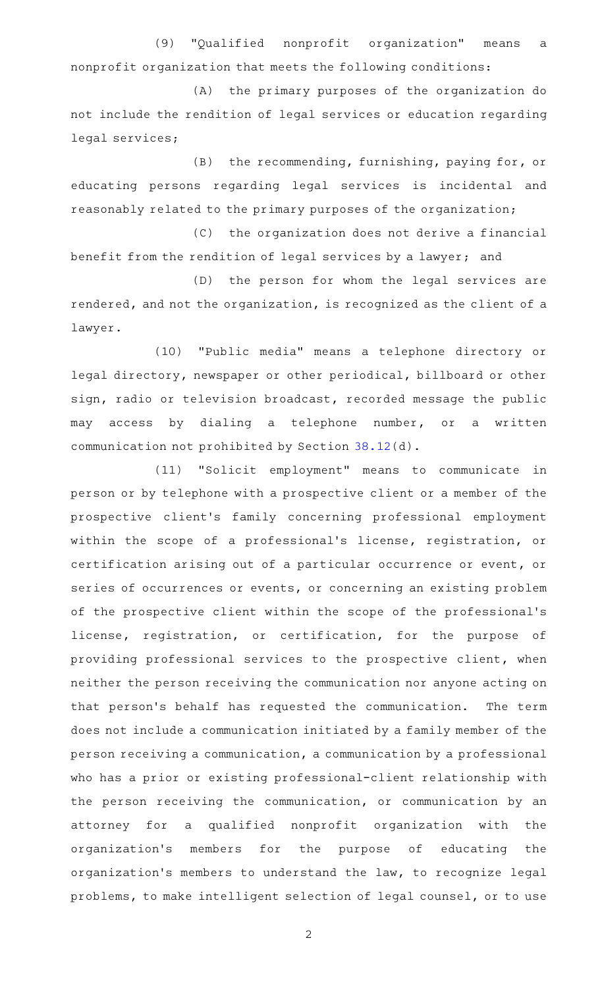(9) "Qualified nonprofit organization" means a nonprofit organization that meets the following conditions:

(A) the primary purposes of the organization do not include the rendition of legal services or education regarding legal services;

(B) the recommending, furnishing, paying for, or educating persons regarding legal services is incidental and reasonably related to the primary purposes of the organization;

(C) the organization does not derive a financial benefit from the rendition of legal services by a lawyer; and

(D) the person for whom the legal services are rendered, and not the organization, is recognized as the client of a lawyer.

(10) "Public media" means a telephone directory or legal directory, newspaper or other periodical, billboard or other sign, radio or television broadcast, recorded message the public may access by dialing a telephone number, or a written communication not prohibited by Section [38.12](http://www.statutes.legis.state.tx.us/GetStatute.aspx?Code=PE&Value=38.12)(d).

(11) "Solicit employment" means to communicate in person or by telephone with a prospective client or a member of the prospective client 's family concerning professional employment within the scope of a professional 's license, registration, or certification arising out of a particular occurrence or event, or series of occurrences or events, or concerning an existing problem of the prospective client within the scope of the professional 's license, registration, or certification, for the purpose of providing professional services to the prospective client, when neither the person receiving the communication nor anyone acting on that person 's behalf has requested the communication. The term does not include a communication initiated by a family member of the person receiving a communication, a communication by a professional who has a prior or existing professional-client relationship with the person receiving the communication, or communication by an attorney for a qualified nonprofit organization with the organization 's members for the purpose of educating the organization 's members to understand the law, to recognize legal problems, to make intelligent selection of legal counsel, or to use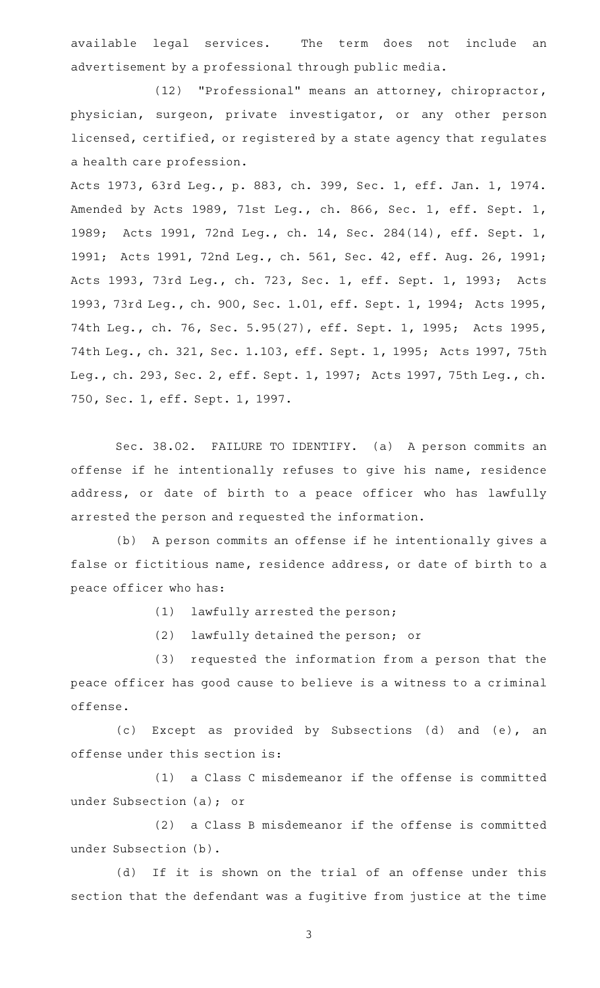available legal services. The term does not include an advertisement by a professional through public media.

(12) "Professional" means an attorney, chiropractor, physician, surgeon, private investigator, or any other person licensed, certified, or registered by a state agency that regulates a health care profession.

Acts 1973, 63rd Leg., p. 883, ch. 399, Sec. 1, eff. Jan. 1, 1974. Amended by Acts 1989, 71st Leg., ch. 866, Sec. 1, eff. Sept. 1, 1989; Acts 1991, 72nd Leg., ch. 14, Sec. 284(14), eff. Sept. 1, 1991; Acts 1991, 72nd Leg., ch. 561, Sec. 42, eff. Aug. 26, 1991; Acts 1993, 73rd Leg., ch. 723, Sec. 1, eff. Sept. 1, 1993; Acts 1993, 73rd Leg., ch. 900, Sec. 1.01, eff. Sept. 1, 1994; Acts 1995, 74th Leg., ch. 76, Sec. 5.95(27), eff. Sept. 1, 1995; Acts 1995, 74th Leg., ch. 321, Sec. 1.103, eff. Sept. 1, 1995; Acts 1997, 75th Leg., ch. 293, Sec. 2, eff. Sept. 1, 1997; Acts 1997, 75th Leg., ch. 750, Sec. 1, eff. Sept. 1, 1997.

Sec. 38.02. FAILURE TO IDENTIFY. (a) A person commits an offense if he intentionally refuses to give his name, residence address, or date of birth to a peace officer who has lawfully arrested the person and requested the information.

(b) A person commits an offense if he intentionally gives a false or fictitious name, residence address, or date of birth to a peace officer who has:

 $(1)$  lawfully arrested the person;

(2) lawfully detained the person; or

(3) requested the information from a person that the peace officer has good cause to believe is a witness to a criminal offense.

(c) Except as provided by Subsections (d) and (e), an offense under this section is:

(1) a Class C misdemeanor if the offense is committed under Subsection (a); or

(2) a Class B misdemeanor if the offense is committed under Subsection (b).

(d) If it is shown on the trial of an offense under this section that the defendant was a fugitive from justice at the time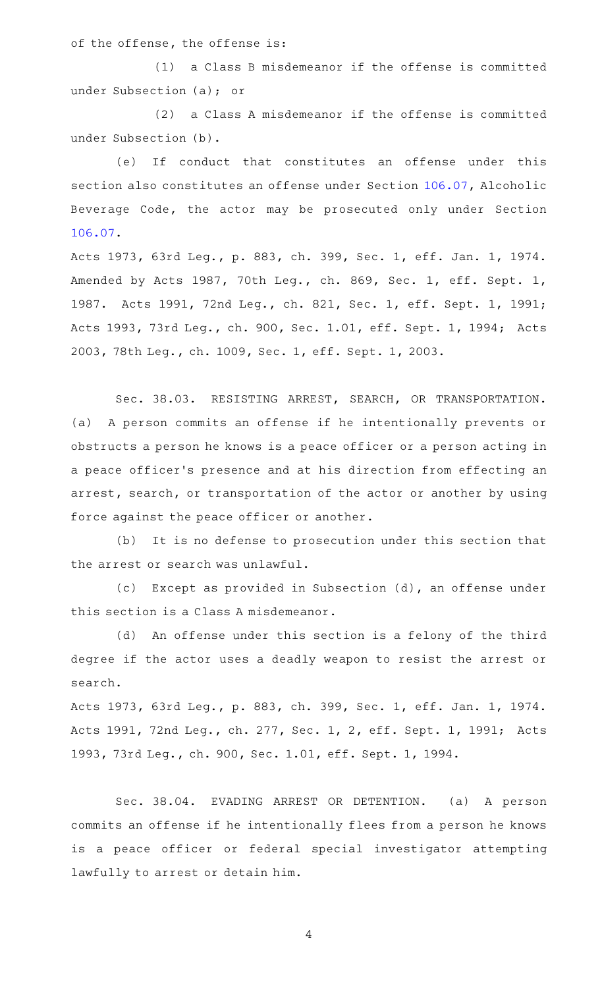of the offense, the offense is:

(1) a Class B misdemeanor if the offense is committed under Subsection (a); or

(2) a Class A misdemeanor if the offense is committed under Subsection (b).

(e) If conduct that constitutes an offense under this section also constitutes an offense under Section [106.07](http://www.statutes.legis.state.tx.us/GetStatute.aspx?Code=AL&Value=106.07), Alcoholic Beverage Code, the actor may be prosecuted only under Section [106.07](http://www.statutes.legis.state.tx.us/GetStatute.aspx?Code=AL&Value=106.07).

Acts 1973, 63rd Leg., p. 883, ch. 399, Sec. 1, eff. Jan. 1, 1974. Amended by Acts 1987, 70th Leg., ch. 869, Sec. 1, eff. Sept. 1, 1987. Acts 1991, 72nd Leg., ch. 821, Sec. 1, eff. Sept. 1, 1991; Acts 1993, 73rd Leg., ch. 900, Sec. 1.01, eff. Sept. 1, 1994; Acts 2003, 78th Leg., ch. 1009, Sec. 1, eff. Sept. 1, 2003.

Sec. 38.03. RESISTING ARREST, SEARCH, OR TRANSPORTATION. (a) A person commits an offense if he intentionally prevents or obstructs a person he knows is a peace officer or a person acting in a peace officer 's presence and at his direction from effecting an arrest, search, or transportation of the actor or another by using force against the peace officer or another.

(b) It is no defense to prosecution under this section that the arrest or search was unlawful.

(c) Except as provided in Subsection (d), an offense under this section is a Class A misdemeanor.

(d) An offense under this section is a felony of the third degree if the actor uses a deadly weapon to resist the arrest or search.

Acts 1973, 63rd Leg., p. 883, ch. 399, Sec. 1, eff. Jan. 1, 1974. Acts 1991, 72nd Leg., ch. 277, Sec. 1, 2, eff. Sept. 1, 1991; Acts 1993, 73rd Leg., ch. 900, Sec. 1.01, eff. Sept. 1, 1994.

Sec. 38.04. EVADING ARREST OR DETENTION. (a) A person commits an offense if he intentionally flees from a person he knows is a peace officer or federal special investigator attempting lawfully to arrest or detain him.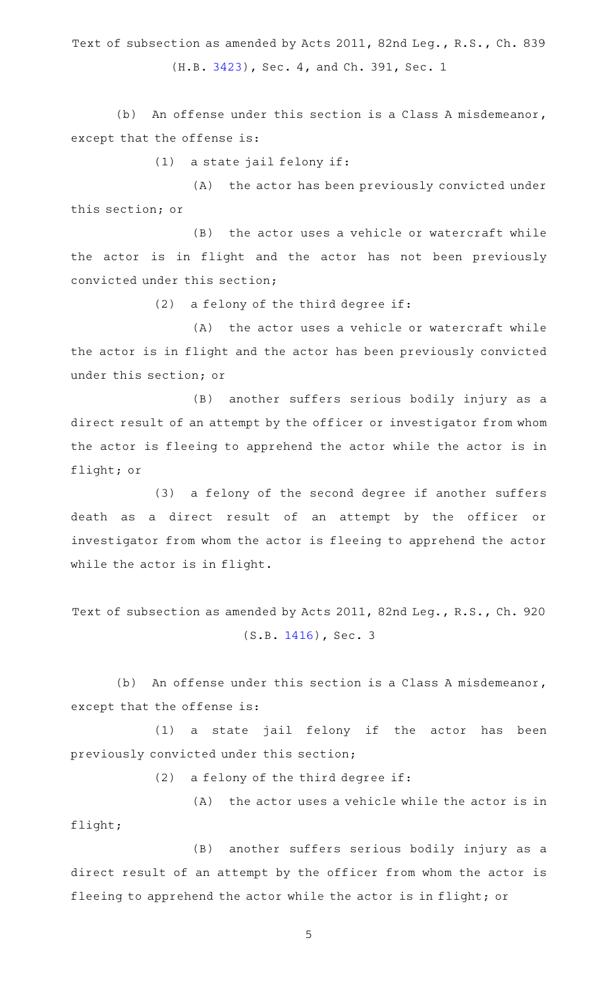Text of subsection as amended by Acts 2011, 82nd Leg., R.S., Ch. 839 (H.B. [3423](http://www.legis.state.tx.us/tlodocs/82R/billtext/html/HB03423F.HTM)), Sec. 4, and Ch. 391, Sec. 1

(b) An offense under this section is a Class A misdemeanor, except that the offense is:

 $(1)$  a state jail felony if:

(A) the actor has been previously convicted under this section; or

(B) the actor uses a vehicle or watercraft while the actor is in flight and the actor has not been previously convicted under this section;

 $(2)$  a felony of the third degree if:

 $(A)$  the actor uses a vehicle or watercraft while the actor is in flight and the actor has been previously convicted under this section; or

(B) another suffers serious bodily injury as a direct result of an attempt by the officer or investigator from whom the actor is fleeing to apprehend the actor while the actor is in flight; or

(3) a felony of the second degree if another suffers death as a direct result of an attempt by the officer or investigator from whom the actor is fleeing to apprehend the actor while the actor is in flight.

Text of subsection as amended by Acts 2011, 82nd Leg., R.S., Ch. 920 (S.B. [1416\)](http://www.legis.state.tx.us/tlodocs/82R/billtext/html/SB01416F.HTM), Sec. 3

(b) An offense under this section is a Class A misdemeanor, except that the offense is:

(1) a state jail felony if the actor has been previously convicted under this section;

(2) a felony of the third degree if:

 $(A)$  the actor uses a vehicle while the actor is in flight;

(B) another suffers serious bodily injury as a direct result of an attempt by the officer from whom the actor is fleeing to apprehend the actor while the actor is in flight; or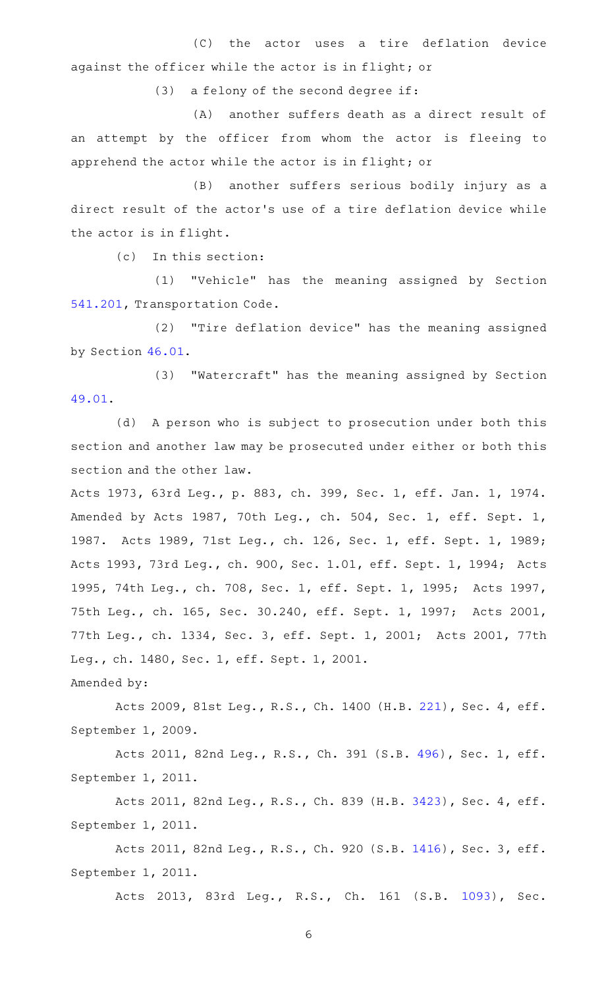(C) the actor uses a tire deflation device against the officer while the actor is in flight; or

 $(3)$  a felony of the second degree if:

(A) another suffers death as a direct result of an attempt by the officer from whom the actor is fleeing to apprehend the actor while the actor is in flight; or

(B) another suffers serious bodily injury as a direct result of the actor 's use of a tire deflation device while the actor is in flight.

 $(c)$  In this section:

(1) "Vehicle" has the meaning assigned by Section [541.201,](http://www.statutes.legis.state.tx.us/GetStatute.aspx?Code=TN&Value=541.201) Transportation Code.

(2) "Tire deflation device" has the meaning assigned by Section [46.01.](http://www.statutes.legis.state.tx.us/GetStatute.aspx?Code=PE&Value=46.01)

(3) "Watercraft" has the meaning assigned by Section [49.01.](http://www.statutes.legis.state.tx.us/GetStatute.aspx?Code=PE&Value=49.01)

(d) A person who is subject to prosecution under both this section and another law may be prosecuted under either or both this section and the other law.

Acts 1973, 63rd Leg., p. 883, ch. 399, Sec. 1, eff. Jan. 1, 1974. Amended by Acts 1987, 70th Leg., ch. 504, Sec. 1, eff. Sept. 1, 1987. Acts 1989, 71st Leg., ch. 126, Sec. 1, eff. Sept. 1, 1989; Acts 1993, 73rd Leg., ch. 900, Sec. 1.01, eff. Sept. 1, 1994; Acts 1995, 74th Leg., ch. 708, Sec. 1, eff. Sept. 1, 1995; Acts 1997, 75th Leg., ch. 165, Sec. 30.240, eff. Sept. 1, 1997; Acts 2001, 77th Leg., ch. 1334, Sec. 3, eff. Sept. 1, 2001; Acts 2001, 77th Leg., ch. 1480, Sec. 1, eff. Sept. 1, 2001.

Amended by:

Acts 2009, 81st Leg., R.S., Ch. 1400 (H.B. [221](http://www.legis.state.tx.us/tlodocs/81R/billtext/html/HB00221F.HTM)), Sec. 4, eff. September 1, 2009.

Acts 2011, 82nd Leg., R.S., Ch. 391 (S.B. [496](http://www.legis.state.tx.us/tlodocs/82R/billtext/html/SB00496F.HTM)), Sec. 1, eff. September 1, 2011.

Acts 2011, 82nd Leg., R.S., Ch. 839 (H.B. [3423](http://www.legis.state.tx.us/tlodocs/82R/billtext/html/HB03423F.HTM)), Sec. 4, eff. September 1, 2011.

Acts 2011, 82nd Leg., R.S., Ch. 920 (S.B. [1416](http://www.legis.state.tx.us/tlodocs/82R/billtext/html/SB01416F.HTM)), Sec. 3, eff. September 1, 2011.

Acts 2013, 83rd Leg., R.S., Ch. 161 (S.B. [1093\)](http://www.legis.state.tx.us/tlodocs/83R/billtext/html/SB01093F.HTM), Sec.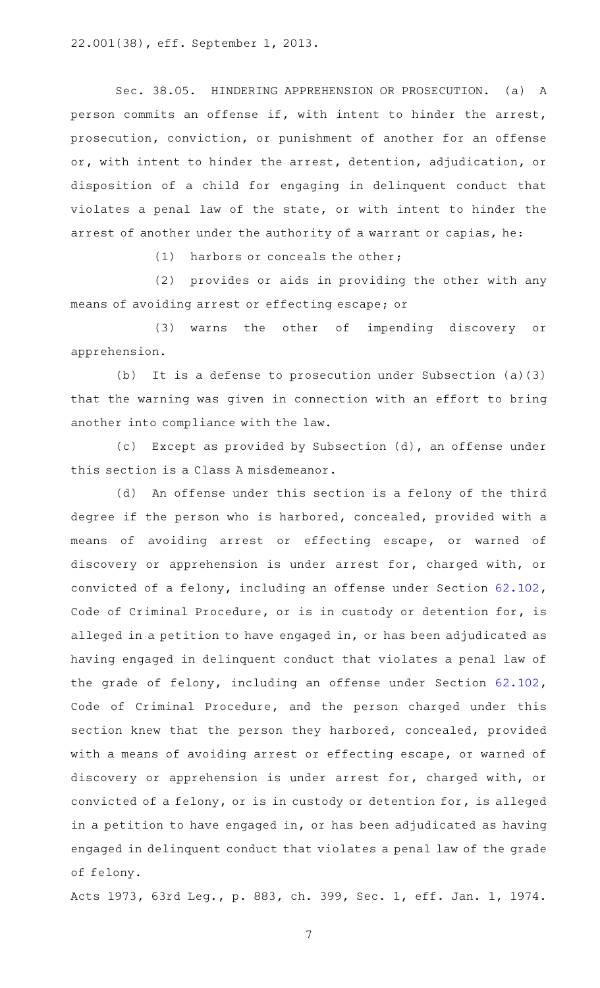Sec. 38.05. HINDERING APPREHENSION OR PROSECUTION. (a) A person commits an offense if, with intent to hinder the arrest, prosecution, conviction, or punishment of another for an offense or, with intent to hinder the arrest, detention, adjudication, or disposition of a child for engaging in delinquent conduct that violates a penal law of the state, or with intent to hinder the arrest of another under the authority of a warrant or capias, he:

 $(1)$  harbors or conceals the other;

(2) provides or aids in providing the other with any means of avoiding arrest or effecting escape; or

(3) warns the other of impending discovery or apprehension.

(b) It is a defense to prosecution under Subsection  $(a)(3)$ that the warning was given in connection with an effort to bring another into compliance with the law.

(c) Except as provided by Subsection (d), an offense under this section is a Class A misdemeanor.

(d) An offense under this section is a felony of the third degree if the person who is harbored, concealed, provided with a means of avoiding arrest or effecting escape, or warned of discovery or apprehension is under arrest for, charged with, or convicted of a felony, including an offense under Section [62.102](http://www.statutes.legis.state.tx.us/GetStatute.aspx?Code=CR&Value=62.102), Code of Criminal Procedure, or is in custody or detention for, is alleged in a petition to have engaged in, or has been adjudicated as having engaged in delinquent conduct that violates a penal law of the grade of felony, including an offense under Section [62.102](http://www.statutes.legis.state.tx.us/GetStatute.aspx?Code=CR&Value=62.102), Code of Criminal Procedure, and the person charged under this section knew that the person they harbored, concealed, provided with a means of avoiding arrest or effecting escape, or warned of discovery or apprehension is under arrest for, charged with, or convicted of a felony, or is in custody or detention for, is alleged in a petition to have engaged in, or has been adjudicated as having engaged in delinquent conduct that violates a penal law of the grade of felony.

Acts 1973, 63rd Leg., p. 883, ch. 399, Sec. 1, eff. Jan. 1, 1974.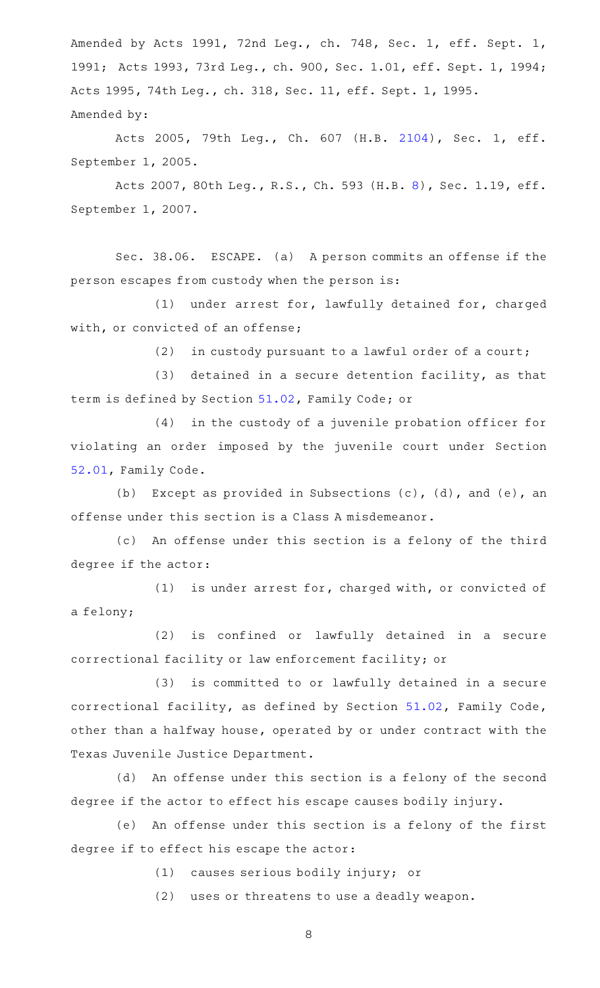Amended by Acts 1991, 72nd Leg., ch. 748, Sec. 1, eff. Sept. 1, 1991; Acts 1993, 73rd Leg., ch. 900, Sec. 1.01, eff. Sept. 1, 1994; Acts 1995, 74th Leg., ch. 318, Sec. 11, eff. Sept. 1, 1995. Amended by:

Acts 2005, 79th Leg., Ch. 607 (H.B. [2104](http://www.legis.state.tx.us/tlodocs/79R/billtext/html/HB02104F.HTM)), Sec. 1, eff. September 1, 2005.

Acts 2007, 80th Leg., R.S., Ch. 593 (H.B. [8\)](http://www.legis.state.tx.us/tlodocs/80R/billtext/html/HB00008F.HTM), Sec. 1.19, eff. September 1, 2007.

Sec. 38.06. ESCAPE. (a) A person commits an offense if the person escapes from custody when the person is:

(1) under arrest for, lawfully detained for, charged with, or convicted of an offense;

(2) in custody pursuant to a lawful order of a court;

 $(3)$  detained in a secure detention facility, as that term is defined by Section [51.02,](http://www.statutes.legis.state.tx.us/GetStatute.aspx?Code=FA&Value=51.02) Family Code; or

(4) in the custody of a juvenile probation officer for violating an order imposed by the juvenile court under Section [52.01,](http://www.statutes.legis.state.tx.us/GetStatute.aspx?Code=FA&Value=52.01) Family Code.

(b) Except as provided in Subsections  $(c)$ ,  $(d)$ , and  $(e)$ , an offense under this section is a Class A misdemeanor.

(c) An offense under this section is a felony of the third degree if the actor:

 $(1)$  is under arrest for, charged with, or convicted of a felony;

(2) is confined or lawfully detained in a secure correctional facility or law enforcement facility; or

(3) is committed to or lawfully detained in a secure correctional facility, as defined by Section [51.02,](http://www.statutes.legis.state.tx.us/GetStatute.aspx?Code=FA&Value=51.02) Family Code, other than a halfway house, operated by or under contract with the Texas Juvenile Justice Department.

(d) An offense under this section is a felony of the second degree if the actor to effect his escape causes bodily injury.

(e) An offense under this section is a felony of the first degree if to effect his escape the actor:

(1) causes serious bodily injury; or

(2) uses or threatens to use a deadly weapon.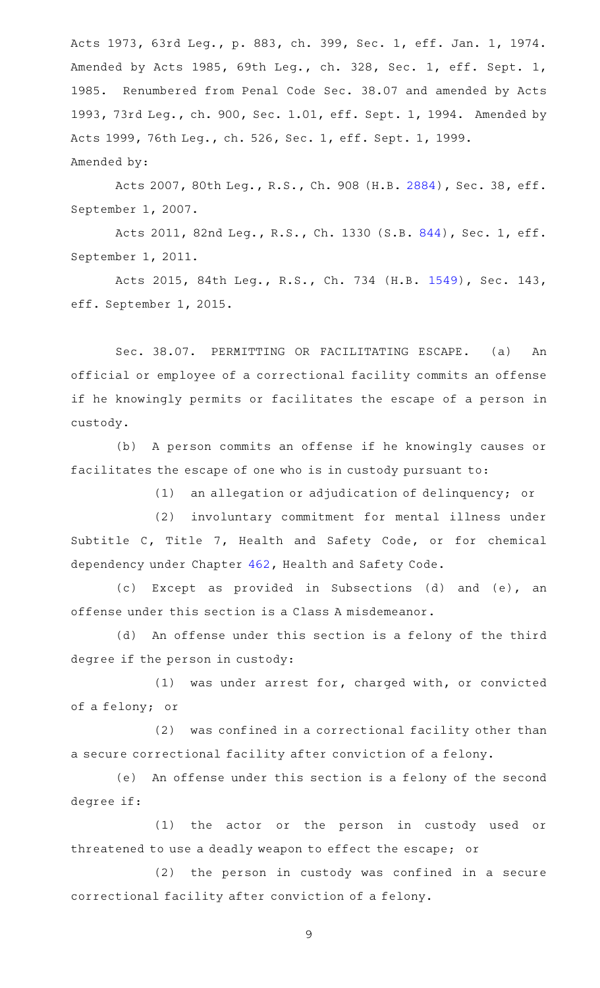Acts 1973, 63rd Leg., p. 883, ch. 399, Sec. 1, eff. Jan. 1, 1974. Amended by Acts 1985, 69th Leg., ch. 328, Sec. 1, eff. Sept. 1, 1985. Renumbered from Penal Code Sec. 38.07 and amended by Acts 1993, 73rd Leg., ch. 900, Sec. 1.01, eff. Sept. 1, 1994. Amended by Acts 1999, 76th Leg., ch. 526, Sec. 1, eff. Sept. 1, 1999. Amended by:

Acts 2007, 80th Leg., R.S., Ch. 908 (H.B. [2884\)](http://www.legis.state.tx.us/tlodocs/80R/billtext/html/HB02884F.HTM), Sec. 38, eff. September 1, 2007.

Acts 2011, 82nd Leg., R.S., Ch. 1330 (S.B. [844](http://www.legis.state.tx.us/tlodocs/82R/billtext/html/SB00844F.HTM)), Sec. 1, eff. September 1, 2011.

Acts 2015, 84th Leg., R.S., Ch. 734 (H.B. [1549\)](http://www.legis.state.tx.us/tlodocs/84R/billtext/html/HB01549F.HTM), Sec. 143, eff. September 1, 2015.

Sec. 38.07. PERMITTING OR FACILITATING ESCAPE. (a) An official or employee of a correctional facility commits an offense if he knowingly permits or facilitates the escape of a person in custody.

(b) A person commits an offense if he knowingly causes or facilitates the escape of one who is in custody pursuant to:

(1) an allegation or adjudication of delinquency; or

(2) involuntary commitment for mental illness under Subtitle C, Title 7, Health and Safety Code, or for chemical dependency under Chapter [462,](http://www.statutes.legis.state.tx.us/GetStatute.aspx?Code=HS&Value=462) Health and Safety Code.

(c) Except as provided in Subsections (d) and (e), an offense under this section is a Class A misdemeanor.

(d) An offense under this section is a felony of the third degree if the person in custody:

 $(1)$  was under arrest for, charged with, or convicted of a felony; or

(2) was confined in a correctional facility other than a secure correctional facility after conviction of a felony.

(e) An offense under this section is a felony of the second degree if:

(1) the actor or the person in custody used or threatened to use a deadly weapon to effect the escape; or

(2) the person in custody was confined in a secure correctional facility after conviction of a felony.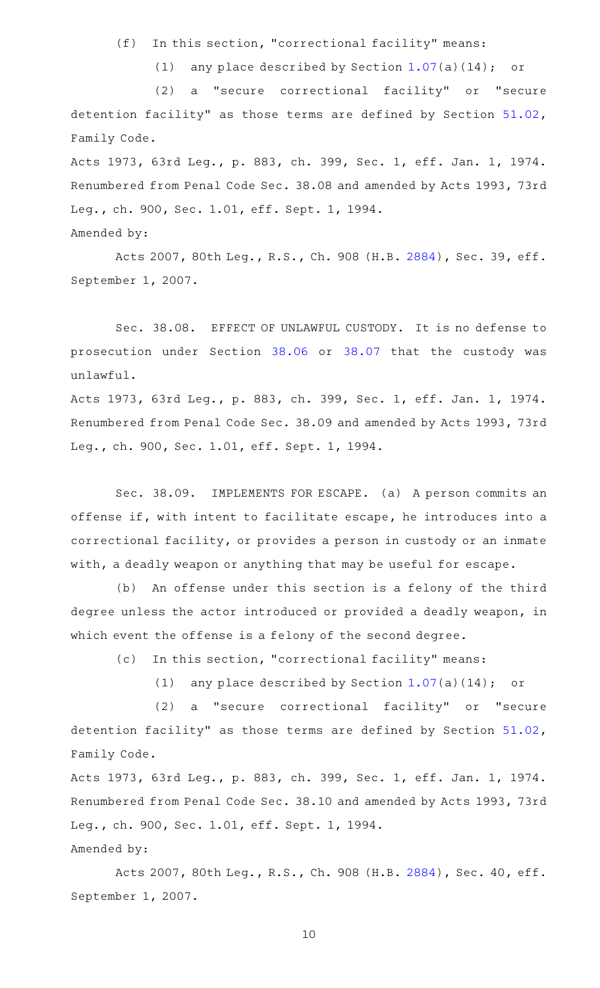$(f)$  In this section, "correctional facility" means:

(1) any place described by Section  $1.07(a)(14)$  $1.07(a)(14)$ ; or

(2) a "secure correctional facility" or "secure detention facility" as those terms are defined by Section [51.02](http://www.statutes.legis.state.tx.us/GetStatute.aspx?Code=FA&Value=51.02), Family Code.

Acts 1973, 63rd Leg., p. 883, ch. 399, Sec. 1, eff. Jan. 1, 1974. Renumbered from Penal Code Sec. 38.08 and amended by Acts 1993, 73rd Leg., ch. 900, Sec. 1.01, eff. Sept. 1, 1994.

Amended by:

Acts 2007, 80th Leg., R.S., Ch. 908 (H.B. [2884\)](http://www.legis.state.tx.us/tlodocs/80R/billtext/html/HB02884F.HTM), Sec. 39, eff. September 1, 2007.

Sec. 38.08. EFFECT OF UNLAWFUL CUSTODY. It is no defense to prosecution under Section [38.06](http://www.statutes.legis.state.tx.us/GetStatute.aspx?Code=PE&Value=38.06) or [38.07](http://www.statutes.legis.state.tx.us/GetStatute.aspx?Code=PE&Value=38.07) that the custody was unlawful.

Acts 1973, 63rd Leg., p. 883, ch. 399, Sec. 1, eff. Jan. 1, 1974. Renumbered from Penal Code Sec. 38.09 and amended by Acts 1993, 73rd Leg., ch. 900, Sec. 1.01, eff. Sept. 1, 1994.

Sec. 38.09. IMPLEMENTS FOR ESCAPE. (a) A person commits an offense if, with intent to facilitate escape, he introduces into a correctional facility, or provides a person in custody or an inmate with, a deadly weapon or anything that may be useful for escape.

(b) An offense under this section is a felony of the third degree unless the actor introduced or provided a deadly weapon, in which event the offense is a felony of the second degree.

(c) In this section, "correctional facility" means:

(1) any place described by Section  $1.07(a)(14)$  $1.07(a)(14)$ ; or

(2) a "secure correctional facility" or "secure detention facility" as those terms are defined by Section [51.02](http://www.statutes.legis.state.tx.us/GetStatute.aspx?Code=FA&Value=51.02), Family Code.

Acts 1973, 63rd Leg., p. 883, ch. 399, Sec. 1, eff. Jan. 1, 1974. Renumbered from Penal Code Sec. 38.10 and amended by Acts 1993, 73rd Leg., ch. 900, Sec. 1.01, eff. Sept. 1, 1994.

Amended by:

Acts 2007, 80th Leg., R.S., Ch. 908 (H.B. [2884\)](http://www.legis.state.tx.us/tlodocs/80R/billtext/html/HB02884F.HTM), Sec. 40, eff. September 1, 2007.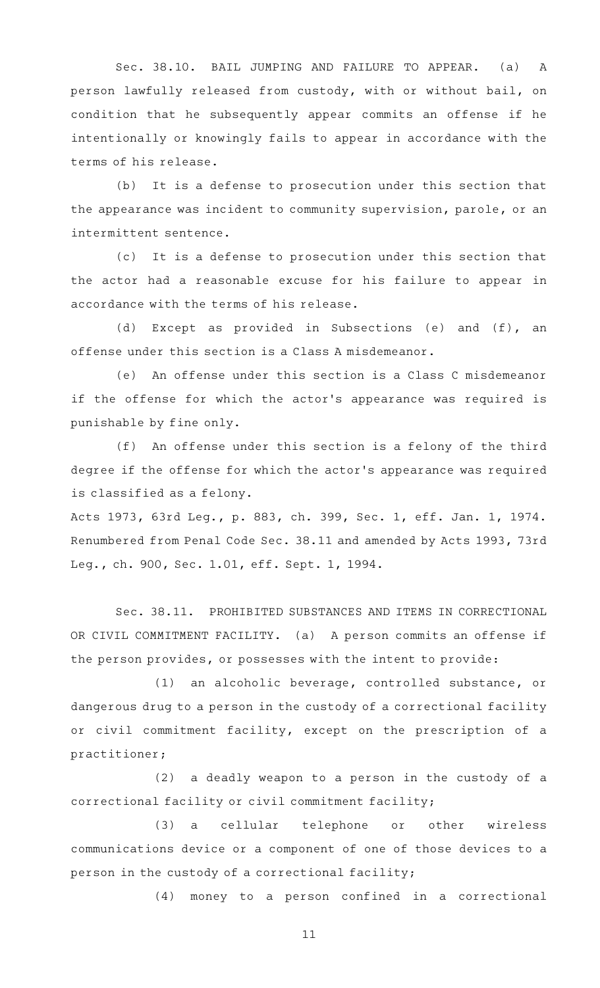Sec. 38.10. BAIL JUMPING AND FAILURE TO APPEAR. (a) A person lawfully released from custody, with or without bail, on condition that he subsequently appear commits an offense if he intentionally or knowingly fails to appear in accordance with the terms of his release.

(b) It is a defense to prosecution under this section that the appearance was incident to community supervision, parole, or an intermittent sentence.

(c) It is a defense to prosecution under this section that the actor had a reasonable excuse for his failure to appear in accordance with the terms of his release.

(d) Except as provided in Subsections (e) and (f), an offense under this section is a Class A misdemeanor.

(e) An offense under this section is a Class C misdemeanor if the offense for which the actor 's appearance was required is punishable by fine only.

(f) An offense under this section is a felony of the third degree if the offense for which the actor 's appearance was required is classified as a felony.

Acts 1973, 63rd Leg., p. 883, ch. 399, Sec. 1, eff. Jan. 1, 1974. Renumbered from Penal Code Sec. 38.11 and amended by Acts 1993, 73rd Leg., ch. 900, Sec. 1.01, eff. Sept. 1, 1994.

Sec. 38.11. PROHIBITED SUBSTANCES AND ITEMS IN CORRECTIONAL OR CIVIL COMMITMENT FACILITY. (a) A person commits an offense if the person provides, or possesses with the intent to provide:

(1) an alcoholic beverage, controlled substance, or dangerous drug to a person in the custody of a correctional facility or civil commitment facility, except on the prescription of a practitioner;

(2) a deadly weapon to a person in the custody of a correctional facility or civil commitment facility;

(3) a cellular telephone or other wireless communications device or a component of one of those devices to a person in the custody of a correctional facility;

(4) money to a person confined in a correctional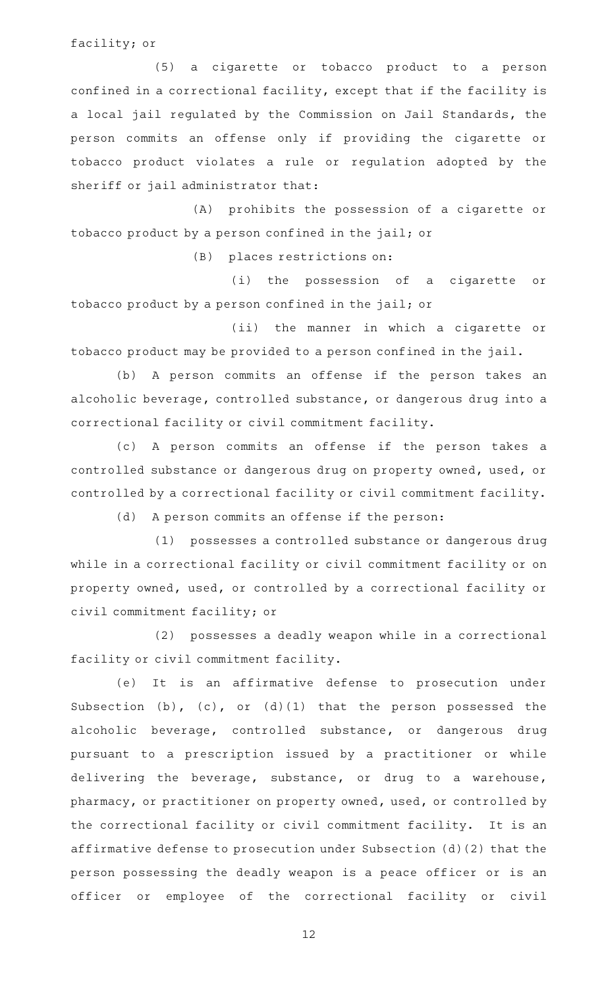facility; or

(5) a cigarette or tobacco product to a person confined in a correctional facility, except that if the facility is a local jail regulated by the Commission on Jail Standards, the person commits an offense only if providing the cigarette or tobacco product violates a rule or regulation adopted by the sheriff or jail administrator that:

(A) prohibits the possession of a cigarette or tobacco product by a person confined in the jail; or

 $(B)$  places restrictions on:

(i) the possession of a cigarette or tobacco product by a person confined in the jail; or

(ii) the manner in which a cigarette or tobacco product may be provided to a person confined in the jail.

(b) A person commits an offense if the person takes an alcoholic beverage, controlled substance, or dangerous drug into a correctional facility or civil commitment facility.

(c)AAA person commits an offense if the person takes a controlled substance or dangerous drug on property owned, used, or controlled by a correctional facility or civil commitment facility.

(d) A person commits an offense if the person:

(1) possesses a controlled substance or dangerous drug while in a correctional facility or civil commitment facility or on property owned, used, or controlled by a correctional facility or civil commitment facility; or

(2) possesses a deadly weapon while in a correctional facility or civil commitment facility.

(e) It is an affirmative defense to prosecution under Subsection (b), (c), or (d)(1) that the person possessed the alcoholic beverage, controlled substance, or dangerous drug pursuant to a prescription issued by a practitioner or while delivering the beverage, substance, or drug to a warehouse, pharmacy, or practitioner on property owned, used, or controlled by the correctional facility or civil commitment facility. It is an affirmative defense to prosecution under Subsection (d)(2) that the person possessing the deadly weapon is a peace officer or is an officer or employee of the correctional facility or civil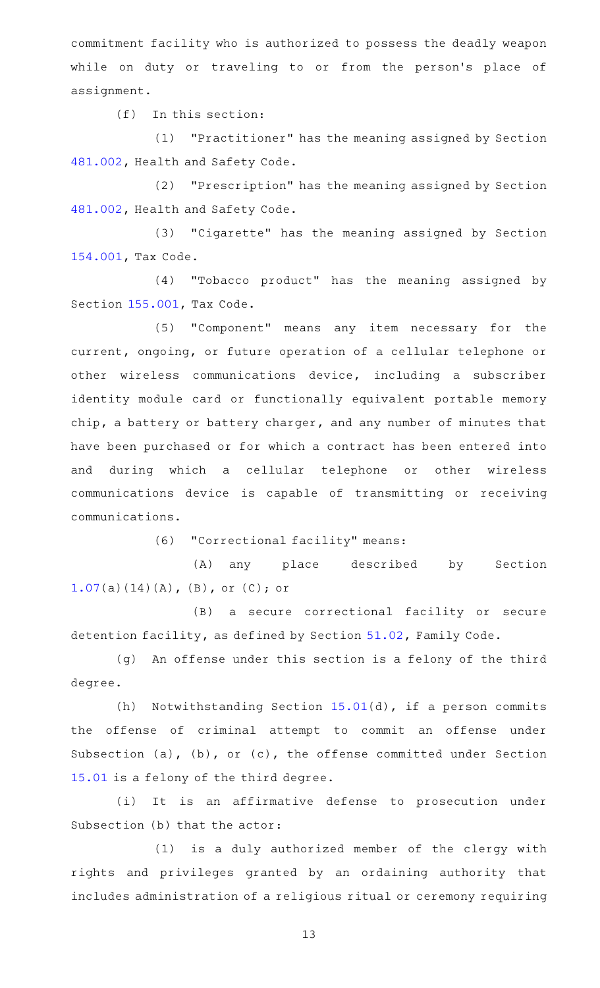commitment facility who is authorized to possess the deadly weapon while on duty or traveling to or from the person's place of assignment.

 $(f)$  In this section:

(1) "Practitioner" has the meaning assigned by Section [481.002,](http://www.statutes.legis.state.tx.us/GetStatute.aspx?Code=HS&Value=481.002) Health and Safety Code.

(2) "Prescription" has the meaning assigned by Section [481.002,](http://www.statutes.legis.state.tx.us/GetStatute.aspx?Code=HS&Value=481.002) Health and Safety Code.

(3) "Cigarette" has the meaning assigned by Section [154.001,](http://www.statutes.legis.state.tx.us/GetStatute.aspx?Code=TX&Value=154.001) Tax Code.

(4) "Tobacco product" has the meaning assigned by Section [155.001,](http://www.statutes.legis.state.tx.us/GetStatute.aspx?Code=TX&Value=155.001) Tax Code.

(5) "Component" means any item necessary for the current, ongoing, or future operation of a cellular telephone or other wireless communications device, including a subscriber identity module card or functionally equivalent portable memory chip, a battery or battery charger, and any number of minutes that have been purchased or for which a contract has been entered into and during which a cellular telephone or other wireless communications device is capable of transmitting or receiving communications.

(6) "Correctional facility" means:

(A) any place described by Section  $1.07(a)(14)(A)$  $1.07(a)(14)(A)$ ,  $(B)$ , or  $(C)$ ; or

(B) a secure correctional facility or secure detention facility, as defined by Section [51.02,](http://www.statutes.legis.state.tx.us/GetStatute.aspx?Code=FA&Value=51.02) Family Code.

(g) An offense under this section is a felony of the third degree.

(h) Notwithstanding Section  $15.01(d)$  $15.01(d)$ , if a person commits the offense of criminal attempt to commit an offense under Subsection (a), (b), or (c), the offense committed under Section [15.01](http://www.statutes.legis.state.tx.us/GetStatute.aspx?Code=PE&Value=15.01) is a felony of the third degree.

(i) It is an affirmative defense to prosecution under Subsection (b) that the actor:

(1) is a duly authorized member of the clergy with rights and privileges granted by an ordaining authority that includes administration of a religious ritual or ceremony requiring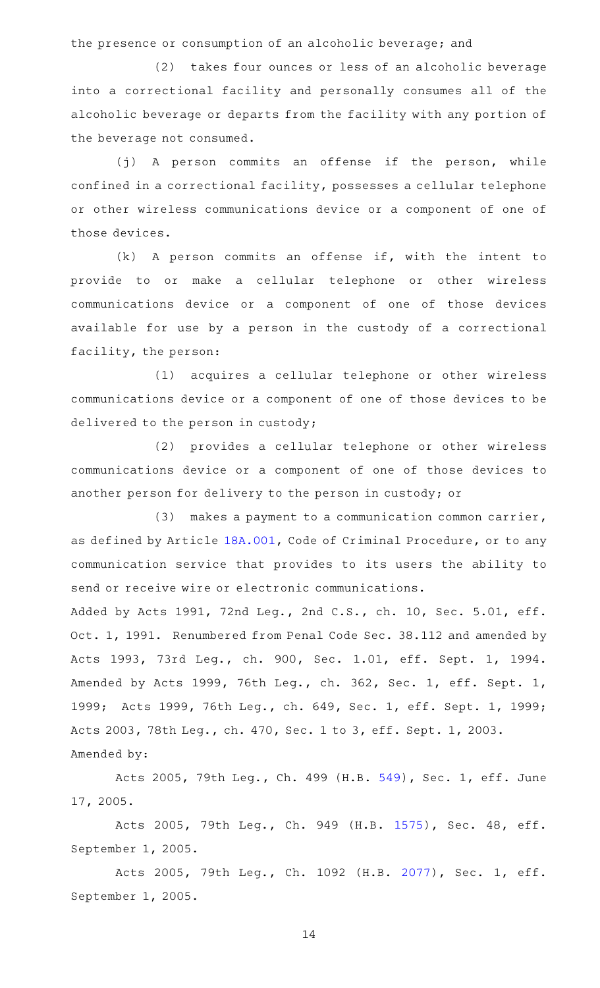the presence or consumption of an alcoholic beverage; and

(2) takes four ounces or less of an alcoholic beverage into a correctional facility and personally consumes all of the alcoholic beverage or departs from the facility with any portion of the beverage not consumed.

(j) A person commits an offense if the person, while confined in a correctional facility, possesses a cellular telephone or other wireless communications device or a component of one of those devices.

 $(k)$  A person commits an offense if, with the intent to provide to or make a cellular telephone or other wireless communications device or a component of one of those devices available for use by a person in the custody of a correctional facility, the person:

(1) acquires a cellular telephone or other wireless communications device or a component of one of those devices to be delivered to the person in custody;

(2) provides a cellular telephone or other wireless communications device or a component of one of those devices to another person for delivery to the person in custody; or

(3) makes a payment to a communication common carrier, as defined by Article [18A.001,](http://www.statutes.legis.state.tx.us/GetStatute.aspx?Code=CR&Value=18A.001) Code of Criminal Procedure, or to any communication service that provides to its users the ability to send or receive wire or electronic communications.

Added by Acts 1991, 72nd Leg., 2nd C.S., ch. 10, Sec. 5.01, eff. Oct. 1, 1991. Renumbered from Penal Code Sec. 38.112 and amended by Acts 1993, 73rd Leg., ch. 900, Sec. 1.01, eff. Sept. 1, 1994. Amended by Acts 1999, 76th Leg., ch. 362, Sec. 1, eff. Sept. 1, 1999; Acts 1999, 76th Leg., ch. 649, Sec. 1, eff. Sept. 1, 1999; Acts 2003, 78th Leg., ch. 470, Sec. 1 to 3, eff. Sept. 1, 2003. Amended by:

Acts 2005, 79th Leg., Ch. 499 (H.B. [549\)](http://www.legis.state.tx.us/tlodocs/79R/billtext/html/HB00549F.HTM), Sec. 1, eff. June 17, 2005.

Acts 2005, 79th Leg., Ch. 949 (H.B. [1575\)](http://www.legis.state.tx.us/tlodocs/79R/billtext/html/HB01575F.HTM), Sec. 48, eff. September 1, 2005.

Acts 2005, 79th Leg., Ch. 1092 (H.B. [2077](http://www.legis.state.tx.us/tlodocs/79R/billtext/html/HB02077F.HTM)), Sec. 1, eff. September 1, 2005.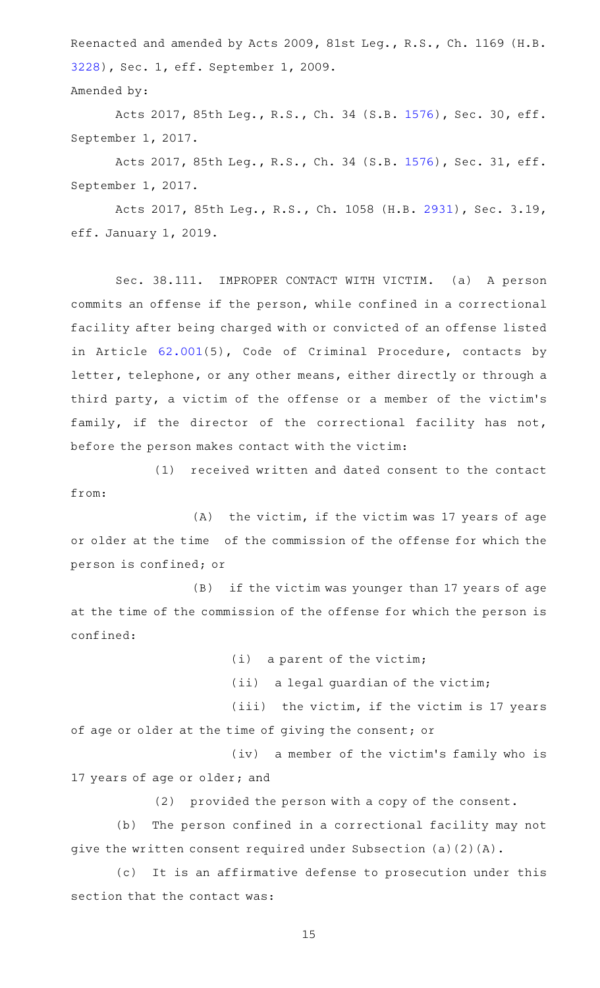Reenacted and amended by Acts 2009, 81st Leg., R.S., Ch. 1169 (H.B. [3228](http://www.legis.state.tx.us/tlodocs/81R/billtext/html/HB03228F.HTM)), Sec. 1, eff. September 1, 2009.

```
Amended by:
```
Acts 2017, 85th Leg., R.S., Ch. 34 (S.B. [1576\)](http://www.legis.state.tx.us/tlodocs/85R/billtext/html/SB01576F.HTM), Sec. 30, eff. September 1, 2017.

Acts 2017, 85th Leg., R.S., Ch. 34 (S.B. [1576\)](http://www.legis.state.tx.us/tlodocs/85R/billtext/html/SB01576F.HTM), Sec. 31, eff. September 1, 2017.

Acts 2017, 85th Leg., R.S., Ch. 1058 (H.B. [2931](http://www.legis.state.tx.us/tlodocs/85R/billtext/html/HB02931F.HTM)), Sec. 3.19, eff. January 1, 2019.

Sec. 38.111. IMPROPER CONTACT WITH VICTIM. (a) A person commits an offense if the person, while confined in a correctional facility after being charged with or convicted of an offense listed in Article [62.001\(](http://www.statutes.legis.state.tx.us/GetStatute.aspx?Code=CR&Value=62.001)5), Code of Criminal Procedure, contacts by letter, telephone, or any other means, either directly or through a third party, a victim of the offense or a member of the victim 's family, if the director of the correctional facility has not, before the person makes contact with the victim:

(1) received written and dated consent to the contact from:

 $(A)$  the victim, if the victim was 17 years of age or older at the time of the commission of the offense for which the person is confined; or

(B) if the victim was younger than 17 years of age at the time of the commission of the offense for which the person is confined:

 $(i)$  a parent of the victim;

(ii) a legal guardian of the victim;

(iii) the victim, if the victim is 17 years

of age or older at the time of giving the consent; or

(iv) a member of the victim's family who is 17 years of age or older; and

 $(2)$  provided the person with a copy of the consent.

(b) The person confined in a correctional facility may not give the written consent required under Subsection (a)(2)(A).

(c) It is an affirmative defense to prosecution under this section that the contact was: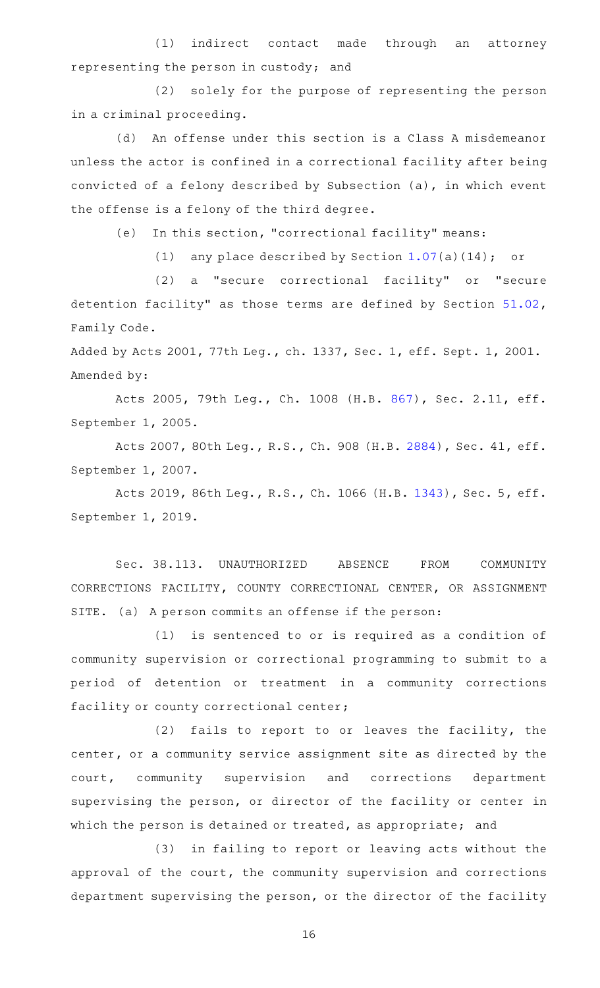(1) indirect contact made through an attorney representing the person in custody; and

(2) solely for the purpose of representing the person in a criminal proceeding.

(d) An offense under this section is a Class A misdemeanor unless the actor is confined in a correctional facility after being convicted of a felony described by Subsection (a), in which event the offense is a felony of the third degree.

(e) In this section, "correctional facility" means:

(1) any place described by Section  $1.07(a)(14)$  $1.07(a)(14)$ ; or

(2) a "secure correctional facility" or "secure detention facility" as those terms are defined by Section [51.02](http://www.statutes.legis.state.tx.us/GetStatute.aspx?Code=FA&Value=51.02), Family Code.

Added by Acts 2001, 77th Leg., ch. 1337, Sec. 1, eff. Sept. 1, 2001. Amended by:

Acts 2005, 79th Leg., Ch. 1008 (H.B. [867](http://www.legis.state.tx.us/tlodocs/79R/billtext/html/HB00867F.HTM)), Sec. 2.11, eff. September 1, 2005.

Acts 2007, 80th Leg., R.S., Ch. 908 (H.B. [2884\)](http://www.legis.state.tx.us/tlodocs/80R/billtext/html/HB02884F.HTM), Sec. 41, eff. September 1, 2007.

Acts 2019, 86th Leg., R.S., Ch. 1066 (H.B. [1343](http://www.legis.state.tx.us/tlodocs/86R/billtext/html/HB01343F.HTM)), Sec. 5, eff. September 1, 2019.

Sec. 38.113. UNAUTHORIZED ABSENCE FROM COMMUNITY CORRECTIONS FACILITY, COUNTY CORRECTIONAL CENTER, OR ASSIGNMENT SITE. (a) A person commits an offense if the person:

 $(1)$  is sentenced to or is required as a condition of community supervision or correctional programming to submit to a period of detention or treatment in a community corrections facility or county correctional center;

 $(2)$  fails to report to or leaves the facility, the center, or a community service assignment site as directed by the court, community supervision and corrections department supervising the person, or director of the facility or center in which the person is detained or treated, as appropriate; and

(3) in failing to report or leaving acts without the approval of the court, the community supervision and corrections department supervising the person, or the director of the facility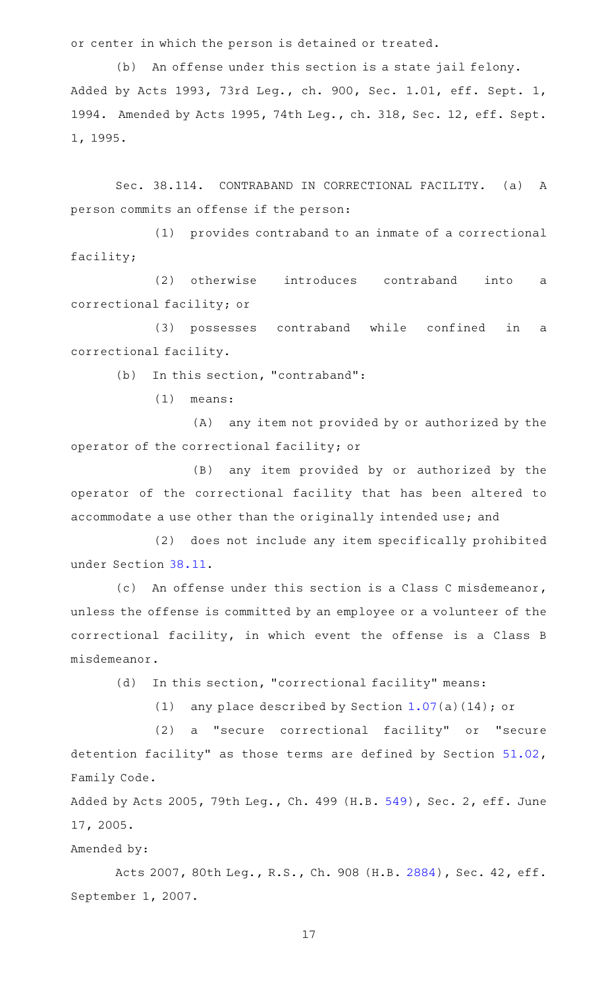or center in which the person is detained or treated.

(b) An offense under this section is a state jail felony. Added by Acts 1993, 73rd Leg., ch. 900, Sec. 1.01, eff. Sept. 1, 1994. Amended by Acts 1995, 74th Leg., ch. 318, Sec. 12, eff. Sept. 1, 1995.

Sec. 38.114. CONTRABAND IN CORRECTIONAL FACILITY. (a) A person commits an offense if the person:

 $(1)$  provides contraband to an inmate of a correctional facility;

(2) otherwise introduces contraband into a correctional facility; or

(3) possesses contraband while confined in a correctional facility.

 $(b)$  In this section, "contraband":

 $(1)$  means:

(A) any item not provided by or authorized by the operator of the correctional facility; or

(B) any item provided by or authorized by the operator of the correctional facility that has been altered to accommodate a use other than the originally intended use; and

(2) does not include any item specifically prohibited under Section [38.11](http://www.statutes.legis.state.tx.us/GetStatute.aspx?Code=PE&Value=38.11).

(c) An offense under this section is a Class C misdemeanor, unless the offense is committed by an employee or a volunteer of the correctional facility, in which event the offense is a Class B misdemeanor.

(d) In this section, "correctional facility" means:

(1) any place described by Section  $1.07(a)(14)$  $1.07(a)(14)$ ; or

(2) a "secure correctional facility" or "secure detention facility" as those terms are defined by Section [51.02](http://www.statutes.legis.state.tx.us/GetStatute.aspx?Code=FA&Value=51.02), Family Code.

Added by Acts 2005, 79th Leg., Ch. 499 (H.B. [549](http://www.legis.state.tx.us/tlodocs/79R/billtext/html/HB00549F.HTM)), Sec. 2, eff. June 17, 2005.

Amended by:

Acts 2007, 80th Leg., R.S., Ch. 908 (H.B. [2884\)](http://www.legis.state.tx.us/tlodocs/80R/billtext/html/HB02884F.HTM), Sec. 42, eff. September 1, 2007.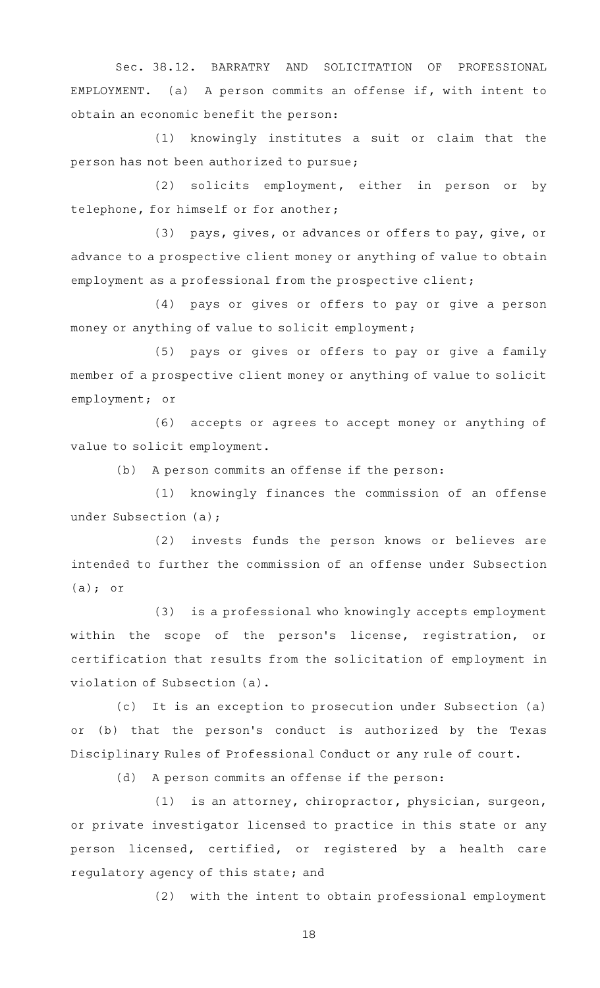Sec. 38.12. BARRATRY AND SOLICITATION OF PROFESSIONAL EMPLOYMENT. (a) A person commits an offense if, with intent to obtain an economic benefit the person:

(1) knowingly institutes a suit or claim that the person has not been authorized to pursue;

(2) solicits employment, either in person or by telephone, for himself or for another;

(3) pays, gives, or advances or offers to pay, give, or advance to a prospective client money or anything of value to obtain employment as a professional from the prospective client;

(4) pays or gives or offers to pay or give a person money or anything of value to solicit employment;

(5) pays or gives or offers to pay or give a family member of a prospective client money or anything of value to solicit employment; or

(6) accepts or agrees to accept money or anything of value to solicit employment.

(b) A person commits an offense if the person:

(1) knowingly finances the commission of an offense under Subsection (a);

(2) invests funds the person knows or believes are intended to further the commission of an offense under Subsection (a); or

(3) is a professional who knowingly accepts employment within the scope of the person's license, registration, or certification that results from the solicitation of employment in violation of Subsection (a).

(c) It is an exception to prosecution under Subsection (a) or (b) that the person's conduct is authorized by the Texas Disciplinary Rules of Professional Conduct or any rule of court.

(d) A person commits an offense if the person:

 $(1)$  is an attorney, chiropractor, physician, surgeon, or private investigator licensed to practice in this state or any person licensed, certified, or registered by a health care regulatory agency of this state; and

(2) with the intent to obtain professional employment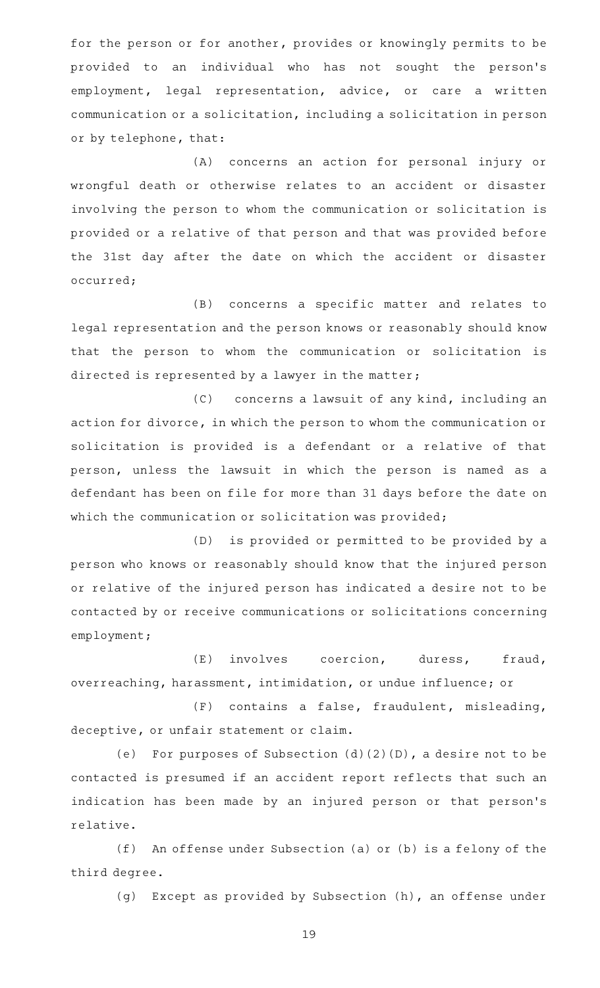for the person or for another, provides or knowingly permits to be provided to an individual who has not sought the person 's employment, legal representation, advice, or care a written communication or a solicitation, including a solicitation in person or by telephone, that:

(A) concerns an action for personal injury or wrongful death or otherwise relates to an accident or disaster involving the person to whom the communication or solicitation is provided or a relative of that person and that was provided before the 31st day after the date on which the accident or disaster occurred;

(B) concerns a specific matter and relates to legal representation and the person knows or reasonably should know that the person to whom the communication or solicitation is directed is represented by a lawyer in the matter;

(C) concerns a lawsuit of any kind, including an action for divorce, in which the person to whom the communication or solicitation is provided is a defendant or a relative of that person, unless the lawsuit in which the person is named as a defendant has been on file for more than 31 days before the date on which the communication or solicitation was provided;

(D) is provided or permitted to be provided by a person who knows or reasonably should know that the injured person or relative of the injured person has indicated a desire not to be contacted by or receive communications or solicitations concerning employment;

(E) involves coercion, duress, fraud, overreaching, harassment, intimidation, or undue influence; or

(F) contains a false, fraudulent, misleading, deceptive, or unfair statement or claim.

(e) For purposes of Subsection  $(d)$ (2)(D), a desire not to be contacted is presumed if an accident report reflects that such an indication has been made by an injured person or that person 's relative.

(f) An offense under Subsection (a) or (b) is a felony of the third degree.

(g) Except as provided by Subsection (h), an offense under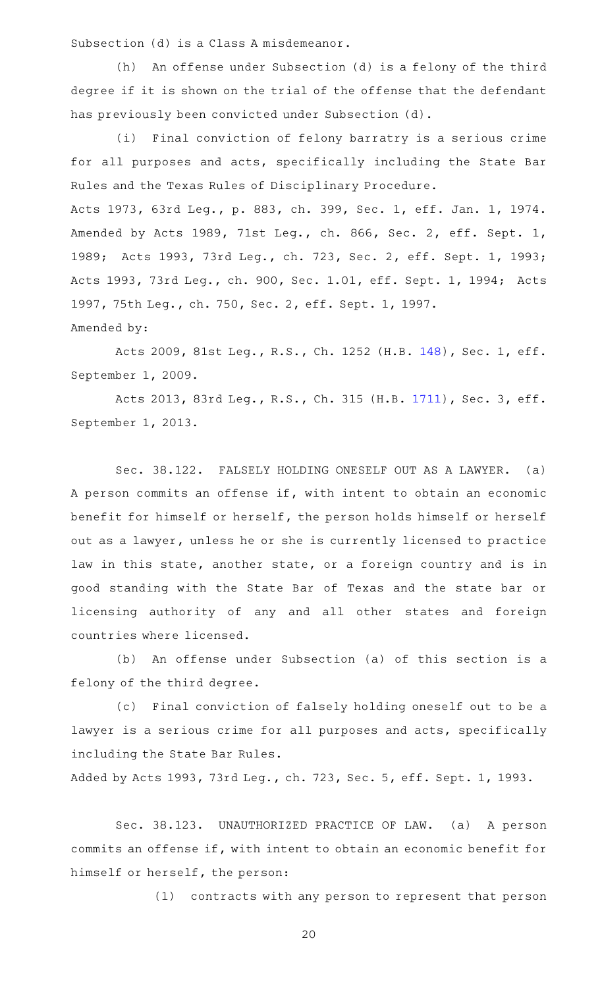Subsection (d) is a Class A misdemeanor.

(h) An offense under Subsection (d) is a felony of the third degree if it is shown on the trial of the offense that the defendant has previously been convicted under Subsection (d).

(i) Final conviction of felony barratry is a serious crime for all purposes and acts, specifically including the State Bar Rules and the Texas Rules of Disciplinary Procedure. Acts 1973, 63rd Leg., p. 883, ch. 399, Sec. 1, eff. Jan. 1, 1974.

Amended by Acts 1989, 71st Leg., ch. 866, Sec. 2, eff. Sept. 1, 1989; Acts 1993, 73rd Leg., ch. 723, Sec. 2, eff. Sept. 1, 1993; Acts 1993, 73rd Leg., ch. 900, Sec. 1.01, eff. Sept. 1, 1994; Acts 1997, 75th Leg., ch. 750, Sec. 2, eff. Sept. 1, 1997.

Amended by:

Acts 2009, 81st Leg., R.S., Ch. 1252 (H.B. [148](http://www.legis.state.tx.us/tlodocs/81R/billtext/html/HB00148F.HTM)), Sec. 1, eff. September 1, 2009.

Acts 2013, 83rd Leg., R.S., Ch. 315 (H.B. [1711](http://www.legis.state.tx.us/tlodocs/83R/billtext/html/HB01711F.HTM)), Sec. 3, eff. September 1, 2013.

Sec. 38.122. FALSELY HOLDING ONESELF OUT AS A LAWYER. (a) A person commits an offense if, with intent to obtain an economic benefit for himself or herself, the person holds himself or herself out as a lawyer, unless he or she is currently licensed to practice law in this state, another state, or a foreign country and is in good standing with the State Bar of Texas and the state bar or licensing authority of any and all other states and foreign countries where licensed.

(b) An offense under Subsection (a) of this section is a felony of the third degree.

(c) Final conviction of falsely holding oneself out to be a lawyer is a serious crime for all purposes and acts, specifically including the State Bar Rules.

Added by Acts 1993, 73rd Leg., ch. 723, Sec. 5, eff. Sept. 1, 1993.

Sec. 38.123. UNAUTHORIZED PRACTICE OF LAW. (a) A person commits an offense if, with intent to obtain an economic benefit for himself or herself, the person:

(1) contracts with any person to represent that person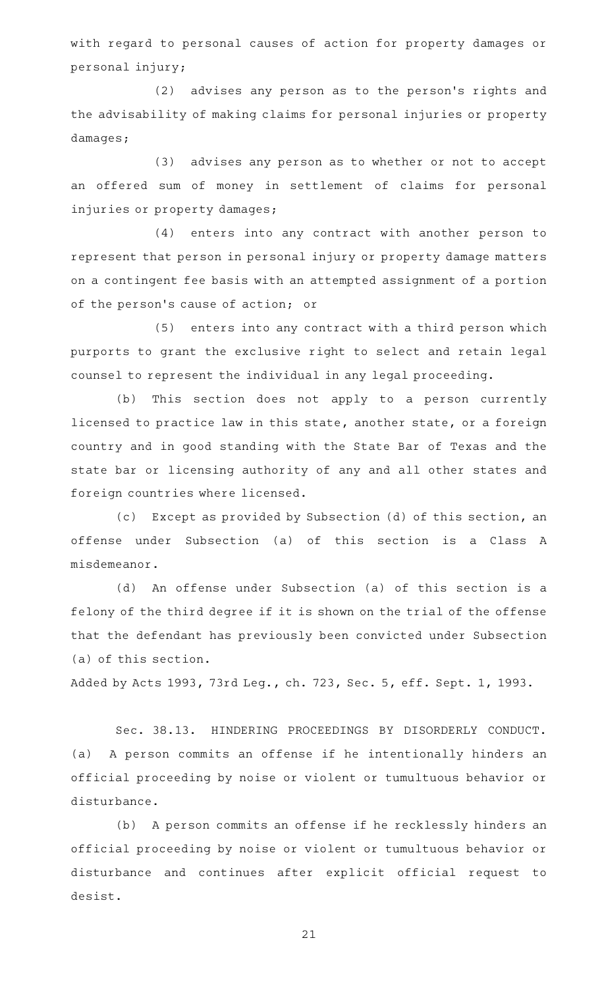with regard to personal causes of action for property damages or personal injury;

(2) advises any person as to the person's rights and the advisability of making claims for personal injuries or property damages;

(3) advises any person as to whether or not to accept an offered sum of money in settlement of claims for personal injuries or property damages;

(4) enters into any contract with another person to represent that person in personal injury or property damage matters on a contingent fee basis with an attempted assignment of a portion of the person 's cause of action; or

(5) enters into any contract with a third person which purports to grant the exclusive right to select and retain legal counsel to represent the individual in any legal proceeding.

(b) This section does not apply to a person currently licensed to practice law in this state, another state, or a foreign country and in good standing with the State Bar of Texas and the state bar or licensing authority of any and all other states and foreign countries where licensed.

(c) Except as provided by Subsection (d) of this section, an offense under Subsection (a) of this section is a Class A misdemeanor.

(d) An offense under Subsection (a) of this section is a felony of the third degree if it is shown on the trial of the offense that the defendant has previously been convicted under Subsection (a) of this section.

Added by Acts 1993, 73rd Leg., ch. 723, Sec. 5, eff. Sept. 1, 1993.

Sec. 38.13. HINDERING PROCEEDINGS BY DISORDERLY CONDUCT. (a) A person commits an offense if he intentionally hinders an official proceeding by noise or violent or tumultuous behavior or disturbance.

(b) A person commits an offense if he recklessly hinders an official proceeding by noise or violent or tumultuous behavior or disturbance and continues after explicit official request to desist.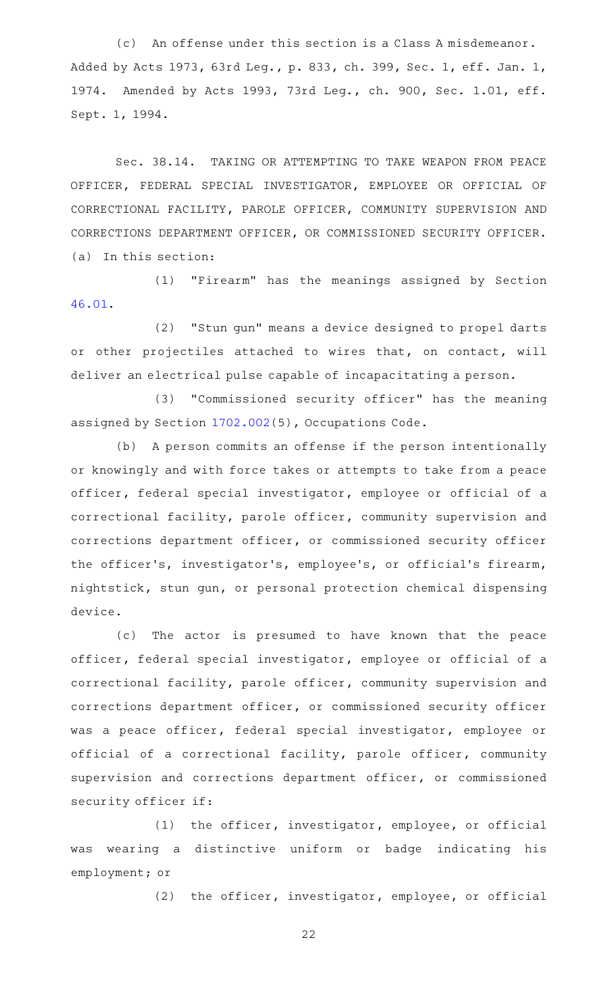(c) An offense under this section is a Class A misdemeanor. Added by Acts 1973, 63rd Leg., p. 833, ch. 399, Sec. 1, eff. Jan. 1, 1974. Amended by Acts 1993, 73rd Leg., ch. 900, Sec. 1.01, eff. Sept. 1, 1994.

Sec. 38.14. TAKING OR ATTEMPTING TO TAKE WEAPON FROM PEACE OFFICER, FEDERAL SPECIAL INVESTIGATOR, EMPLOYEE OR OFFICIAL OF CORRECTIONAL FACILITY, PAROLE OFFICER, COMMUNITY SUPERVISION AND CORRECTIONS DEPARTMENT OFFICER, OR COMMISSIONED SECURITY OFFICER. (a) In this section:

(1) "Firearm" has the meanings assigned by Section [46.01.](http://www.statutes.legis.state.tx.us/GetStatute.aspx?Code=PE&Value=46.01)

(2) "Stun gun" means a device designed to propel darts or other projectiles attached to wires that, on contact, will deliver an electrical pulse capable of incapacitating a person.

(3) "Commissioned security officer" has the meaning assigned by Section [1702.002\(](http://www.statutes.legis.state.tx.us/GetStatute.aspx?Code=OC&Value=1702.002)5), Occupations Code.

(b) A person commits an offense if the person intentionally or knowingly and with force takes or attempts to take from a peace officer, federal special investigator, employee or official of a correctional facility, parole officer, community supervision and corrections department officer, or commissioned security officer the officer 's, investigator 's, employee 's, or official 's firearm, nightstick, stun gun, or personal protection chemical dispensing device.

(c) The actor is presumed to have known that the peace officer, federal special investigator, employee or official of a correctional facility, parole officer, community supervision and corrections department officer, or commissioned security officer was a peace officer, federal special investigator, employee or official of a correctional facility, parole officer, community supervision and corrections department officer, or commissioned security officer if:

(1) the officer, investigator, employee, or official was wearing a distinctive uniform or badge indicating his employment; or

(2) the officer, investigator, employee, or official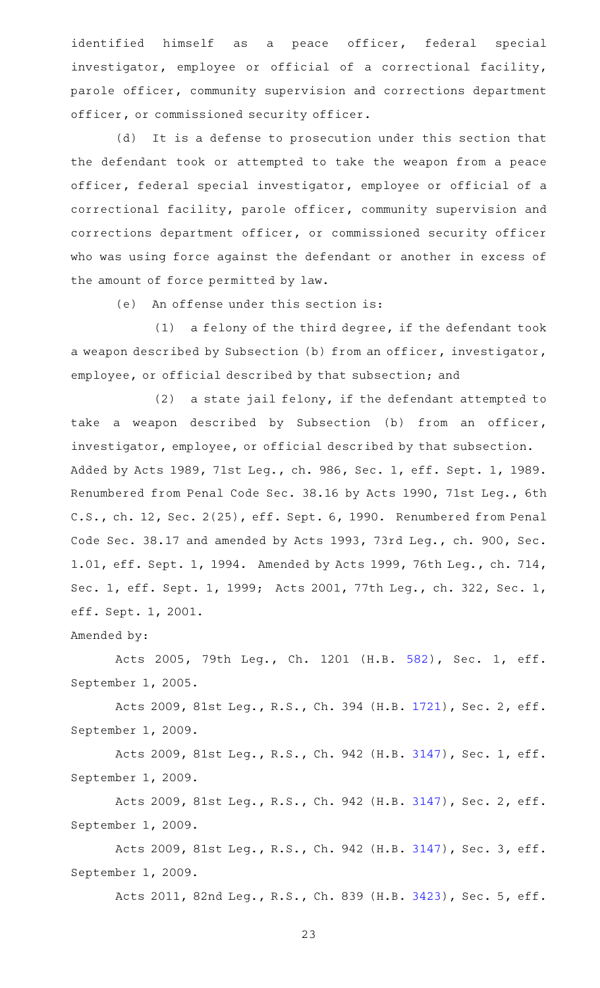identified himself as a peace officer, federal special investigator, employee or official of a correctional facility, parole officer, community supervision and corrections department officer, or commissioned security officer.

(d) It is a defense to prosecution under this section that the defendant took or attempted to take the weapon from a peace officer, federal special investigator, employee or official of a correctional facility, parole officer, community supervision and corrections department officer, or commissioned security officer who was using force against the defendant or another in excess of the amount of force permitted by law.

(e) An offense under this section is:

 $(1)$  a felony of the third degree, if the defendant took a weapon described by Subsection (b) from an officer, investigator, employee, or official described by that subsection; and

 $(2)$  a state jail felony, if the defendant attempted to take a weapon described by Subsection (b) from an officer, investigator, employee, or official described by that subsection. Added by Acts 1989, 71st Leg., ch. 986, Sec. 1, eff. Sept. 1, 1989. Renumbered from Penal Code Sec. 38.16 by Acts 1990, 71st Leg., 6th C.S., ch. 12, Sec. 2(25), eff. Sept. 6, 1990. Renumbered from Penal Code Sec. 38.17 and amended by Acts 1993, 73rd Leg., ch. 900, Sec. 1.01, eff. Sept. 1, 1994. Amended by Acts 1999, 76th Leg., ch. 714, Sec. 1, eff. Sept. 1, 1999; Acts 2001, 77th Leg., ch. 322, Sec. 1, eff. Sept. 1, 2001.

Amended by:

Acts 2005, 79th Leg., Ch. 1201 (H.B. [582](http://www.legis.state.tx.us/tlodocs/79R/billtext/html/HB00582F.HTM)), Sec. 1, eff. September 1, 2005.

Acts 2009, 81st Leg., R.S., Ch. 394 (H.B. [1721](http://www.legis.state.tx.us/tlodocs/81R/billtext/html/HB01721F.HTM)), Sec. 2, eff. September 1, 2009.

Acts 2009, 81st Leg., R.S., Ch. 942 (H.B. [3147](http://www.legis.state.tx.us/tlodocs/81R/billtext/html/HB03147F.HTM)), Sec. 1, eff. September 1, 2009.

Acts 2009, 81st Leg., R.S., Ch. 942 (H.B. [3147](http://www.legis.state.tx.us/tlodocs/81R/billtext/html/HB03147F.HTM)), Sec. 2, eff. September 1, 2009.

Acts 2009, 81st Leg., R.S., Ch. 942 (H.B. [3147](http://www.legis.state.tx.us/tlodocs/81R/billtext/html/HB03147F.HTM)), Sec. 3, eff. September 1, 2009.

Acts 2011, 82nd Leg., R.S., Ch. 839 (H.B. [3423](http://www.legis.state.tx.us/tlodocs/82R/billtext/html/HB03423F.HTM)), Sec. 5, eff.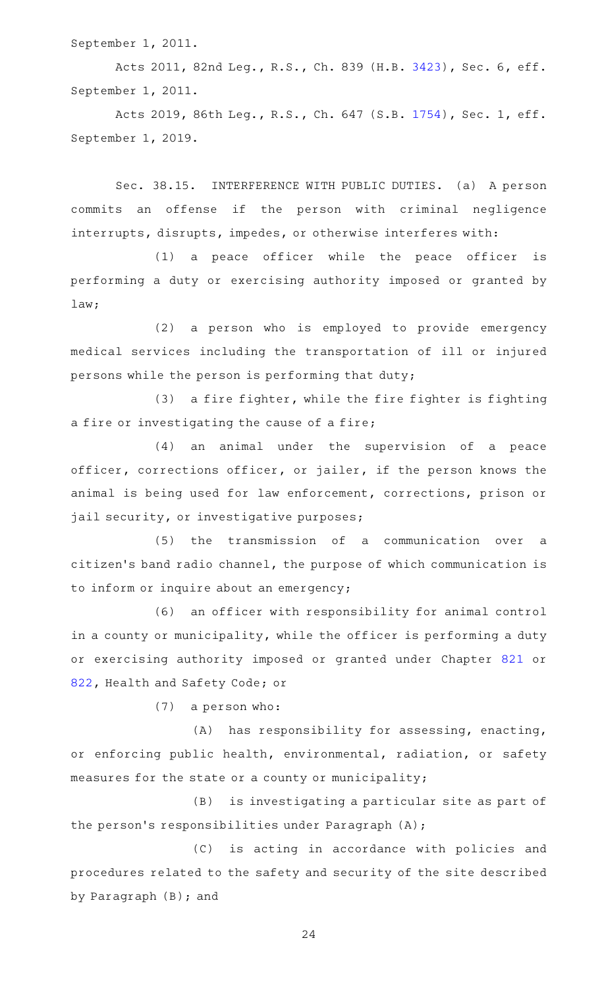September 1, 2011.

Acts 2011, 82nd Leg., R.S., Ch. 839 (H.B. [3423](http://www.legis.state.tx.us/tlodocs/82R/billtext/html/HB03423F.HTM)), Sec. 6, eff. September 1, 2011.

Acts 2019, 86th Leg., R.S., Ch. 647 (S.B. [1754](http://www.legis.state.tx.us/tlodocs/86R/billtext/html/SB01754F.HTM)), Sec. 1, eff. September 1, 2019.

Sec. 38.15. INTERFERENCE WITH PUBLIC DUTIES. (a) A person commits an offense if the person with criminal negligence interrupts, disrupts, impedes, or otherwise interferes with:

(1) a peace officer while the peace officer is performing a duty or exercising authority imposed or granted by law;

(2) a person who is employed to provide emergency medical services including the transportation of ill or injured persons while the person is performing that duty;

(3) a fire fighter, while the fire fighter is fighting a fire or investigating the cause of a fire;

 $(4)$  an animal under the supervision of a peace officer, corrections officer, or jailer, if the person knows the animal is being used for law enforcement, corrections, prison or jail security, or investigative purposes;

(5) the transmission of a communication over a citizen 's band radio channel, the purpose of which communication is to inform or inquire about an emergency;

(6) an officer with responsibility for animal control in a county or municipality, while the officer is performing a duty or exercising authority imposed or granted under Chapter [821](http://www.statutes.legis.state.tx.us/GetStatute.aspx?Code=HS&Value=821) or [822,](http://www.statutes.legis.state.tx.us/GetStatute.aspx?Code=HS&Value=822) Health and Safety Code; or

 $(7)$  a person who:

(A) has responsibility for assessing, enacting, or enforcing public health, environmental, radiation, or safety measures for the state or a county or municipality;

(B) is investigating a particular site as part of the person's responsibilities under Paragraph (A);

(C) is acting in accordance with policies and procedures related to the safety and security of the site described by Paragraph (B); and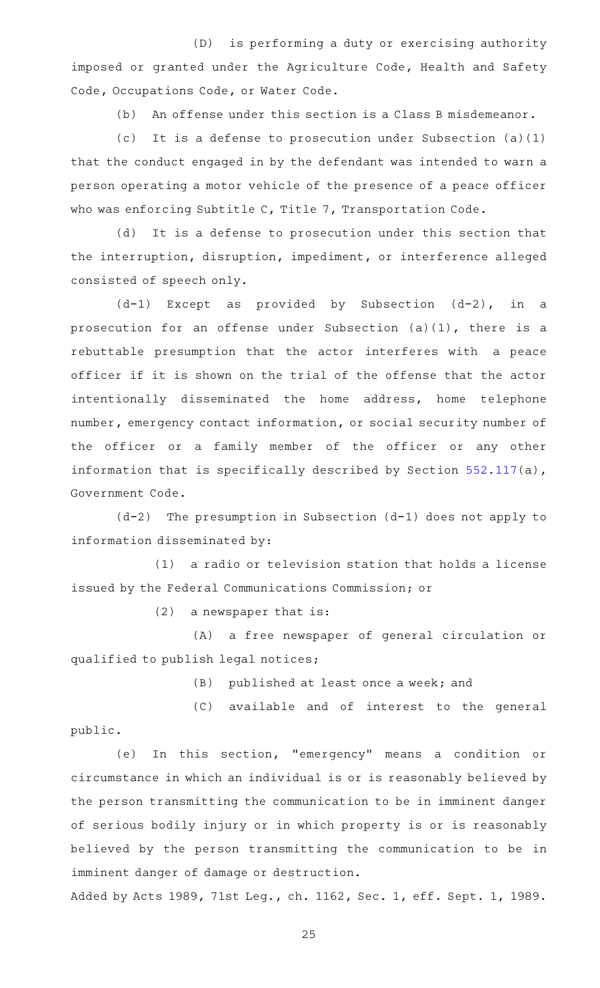(D) is performing a duty or exercising authority imposed or granted under the Agriculture Code, Health and Safety Code, Occupations Code, or Water Code.

(b) An offense under this section is a Class B misdemeanor.

(c) It is a defense to prosecution under Subsection (a)(1) that the conduct engaged in by the defendant was intended to warn a person operating a motor vehicle of the presence of a peace officer who was enforcing Subtitle C, Title 7, Transportation Code.

(d) It is a defense to prosecution under this section that the interruption, disruption, impediment, or interference alleged consisted of speech only.

 $(d-1)$  Except as provided by Subsection  $(d-2)$ , in a prosecution for an offense under Subsection (a)(1), there is a rebuttable presumption that the actor interferes with a peace officer if it is shown on the trial of the offense that the actor intentionally disseminated the home address, home telephone number, emergency contact information, or social security number of the officer or a family member of the officer or any other information that is specifically described by Section [552.117\(](http://www.statutes.legis.state.tx.us/GetStatute.aspx?Code=GV&Value=552.117)a), Government Code.

 $(d-2)$  The presumption in Subsection  $(d-1)$  does not apply to information disseminated by:

(1) a radio or television station that holds a license issued by the Federal Communications Commission; or

 $(2)$  a newspaper that is:

(A) a free newspaper of general circulation or qualified to publish legal notices;

(B) published at least once a week; and

(C) available and of interest to the general public.

(e) In this section, "emergency" means a condition or circumstance in which an individual is or is reasonably believed by the person transmitting the communication to be in imminent danger of serious bodily injury or in which property is or is reasonably believed by the person transmitting the communication to be in imminent danger of damage or destruction.

Added by Acts 1989, 71st Leg., ch. 1162, Sec. 1, eff. Sept. 1, 1989.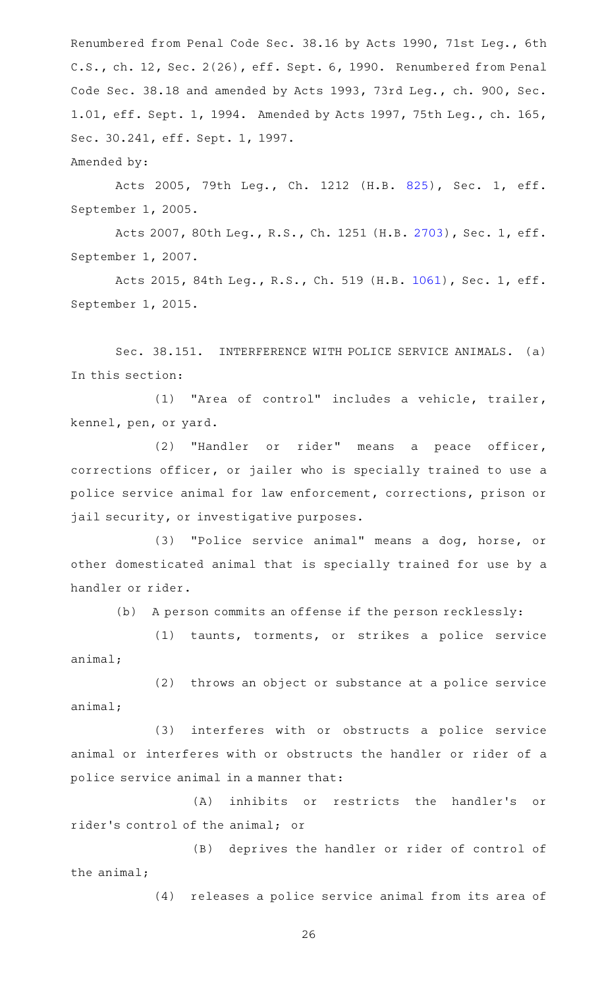Renumbered from Penal Code Sec. 38.16 by Acts 1990, 71st Leg., 6th C.S., ch. 12, Sec. 2(26), eff. Sept. 6, 1990. Renumbered from Penal Code Sec. 38.18 and amended by Acts 1993, 73rd Leg., ch. 900, Sec. 1.01, eff. Sept. 1, 1994. Amended by Acts 1997, 75th Leg., ch. 165, Sec. 30.241, eff. Sept. 1, 1997.

Amended by:

Acts 2005, 79th Leg., Ch. 1212 (H.B. [825](http://www.legis.state.tx.us/tlodocs/79R/billtext/html/HB00825F.HTM)), Sec. 1, eff. September 1, 2005.

Acts 2007, 80th Leg., R.S., Ch. 1251 (H.B. [2703](http://www.legis.state.tx.us/tlodocs/80R/billtext/html/HB02703F.HTM)), Sec. 1, eff. September 1, 2007.

Acts 2015, 84th Leg., R.S., Ch. 519 (H.B. [1061](http://www.legis.state.tx.us/tlodocs/84R/billtext/html/HB01061F.HTM)), Sec. 1, eff. September 1, 2015.

Sec. 38.151. INTERFERENCE WITH POLICE SERVICE ANIMALS. (a) In this section:

(1) "Area of control" includes a vehicle, trailer, kennel, pen, or yard.

(2) "Handler or rider" means a peace officer, corrections officer, or jailer who is specially trained to use a police service animal for law enforcement, corrections, prison or jail security, or investigative purposes.

(3) "Police service animal" means a dog, horse, or other domesticated animal that is specially trained for use by a handler or rider.

(b) A person commits an offense if the person recklessly:

(1) taunts, torments, or strikes a police service animal;

(2) throws an object or substance at a police service animal;

(3) interferes with or obstructs a police service animal or interferes with or obstructs the handler or rider of a police service animal in a manner that:

(A) inhibits or restricts the handler's or rider 's control of the animal; or

(B) deprives the handler or rider of control of the animal;

(4) releases a police service animal from its area of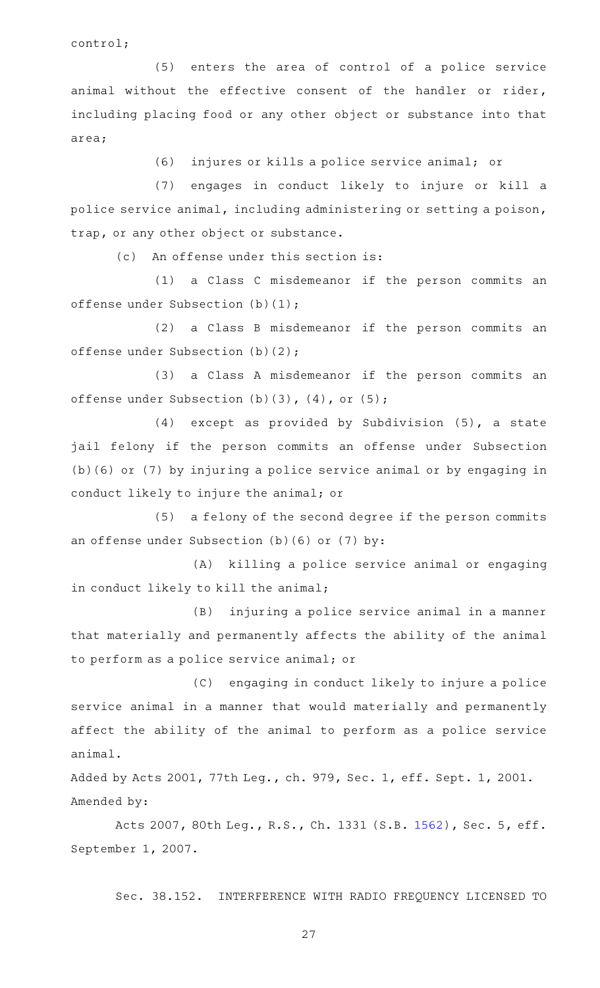control;

(5) enters the area of control of a police service animal without the effective consent of the handler or rider, including placing food or any other object or substance into that area;

(6) injures or kills a police service animal; or

(7) engages in conduct likely to injure or kill a police service animal, including administering or setting a poison, trap, or any other object or substance.

(c) An offense under this section is:

(1) a Class C misdemeanor if the person commits an offense under Subsection (b)(1);

(2) a Class B misdemeanor if the person commits an offense under Subsection (b)(2);

(3) a Class A misdemeanor if the person commits an offense under Subsection (b)(3), (4), or (5);

 $(4)$  except as provided by Subdivision (5), a state jail felony if the person commits an offense under Subsection (b)(6) or (7) by injuring a police service animal or by engaging in conduct likely to injure the animal; or

(5) a felony of the second degree if the person commits an offense under Subsection (b)(6) or (7) by:

(A) killing a police service animal or engaging in conduct likely to kill the animal;

(B) injuring a police service animal in a manner that materially and permanently affects the ability of the animal to perform as a police service animal; or

(C) engaging in conduct likely to injure a police service animal in a manner that would materially and permanently affect the ability of the animal to perform as a police service animal.

Added by Acts 2001, 77th Leg., ch. 979, Sec. 1, eff. Sept. 1, 2001. Amended by:

Acts 2007, 80th Leg., R.S., Ch. 1331 (S.B. [1562](http://www.legis.state.tx.us/tlodocs/80R/billtext/html/SB01562F.HTM)), Sec. 5, eff. September 1, 2007.

Sec. 38.152. INTERFERENCE WITH RADIO FREQUENCY LICENSED TO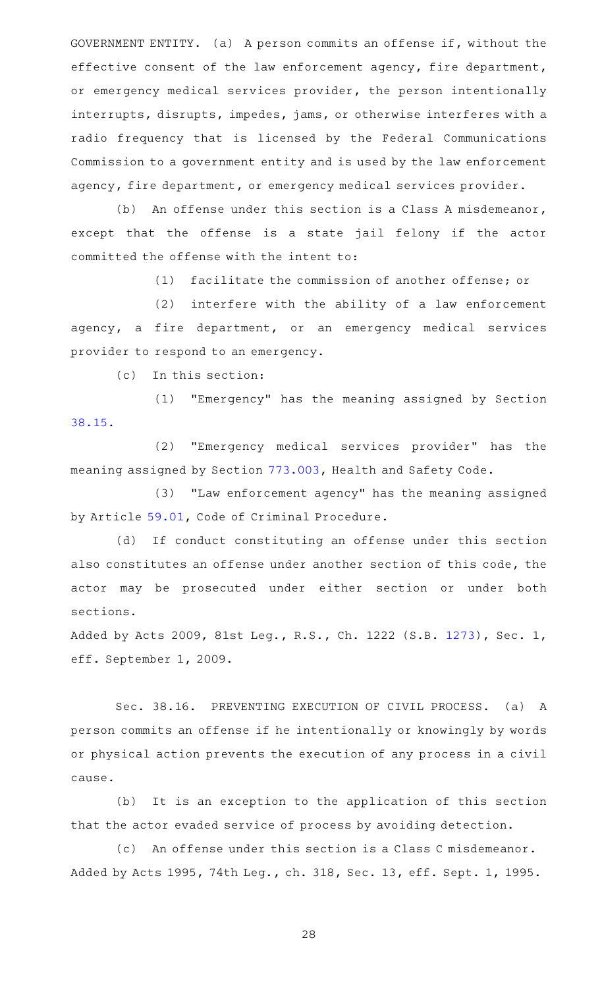GOVERNMENT ENTITY. (a) A person commits an offense if, without the effective consent of the law enforcement agency, fire department, or emergency medical services provider, the person intentionally interrupts, disrupts, impedes, jams, or otherwise interferes with a radio frequency that is licensed by the Federal Communications Commission to a government entity and is used by the law enforcement agency, fire department, or emergency medical services provider.

(b) An offense under this section is a Class A misdemeanor, except that the offense is a state jail felony if the actor committed the offense with the intent to:

(1) facilitate the commission of another offense; or

(2) interfere with the ability of a law enforcement agency, a fire department, or an emergency medical services provider to respond to an emergency.

 $(c)$  In this section:

(1) "Emergency" has the meaning assigned by Section [38.15.](http://www.statutes.legis.state.tx.us/GetStatute.aspx?Code=PE&Value=38.15)

(2) "Emergency medical services provider" has the meaning assigned by Section [773.003](http://www.statutes.legis.state.tx.us/GetStatute.aspx?Code=HS&Value=773.003), Health and Safety Code.

(3) "Law enforcement agency" has the meaning assigned by Article [59.01,](http://www.statutes.legis.state.tx.us/GetStatute.aspx?Code=CR&Value=59.01) Code of Criminal Procedure.

(d) If conduct constituting an offense under this section also constitutes an offense under another section of this code, the actor may be prosecuted under either section or under both sections.

Added by Acts 2009, 81st Leg., R.S., Ch. 1222 (S.B. [1273\)](http://www.legis.state.tx.us/tlodocs/81R/billtext/html/SB01273F.HTM), Sec. 1, eff. September 1, 2009.

Sec. 38.16. PREVENTING EXECUTION OF CIVIL PROCESS. (a) A person commits an offense if he intentionally or knowingly by words or physical action prevents the execution of any process in a civil cause.

(b) It is an exception to the application of this section that the actor evaded service of process by avoiding detection.

(c) An offense under this section is a Class C misdemeanor. Added by Acts 1995, 74th Leg., ch. 318, Sec. 13, eff. Sept. 1, 1995.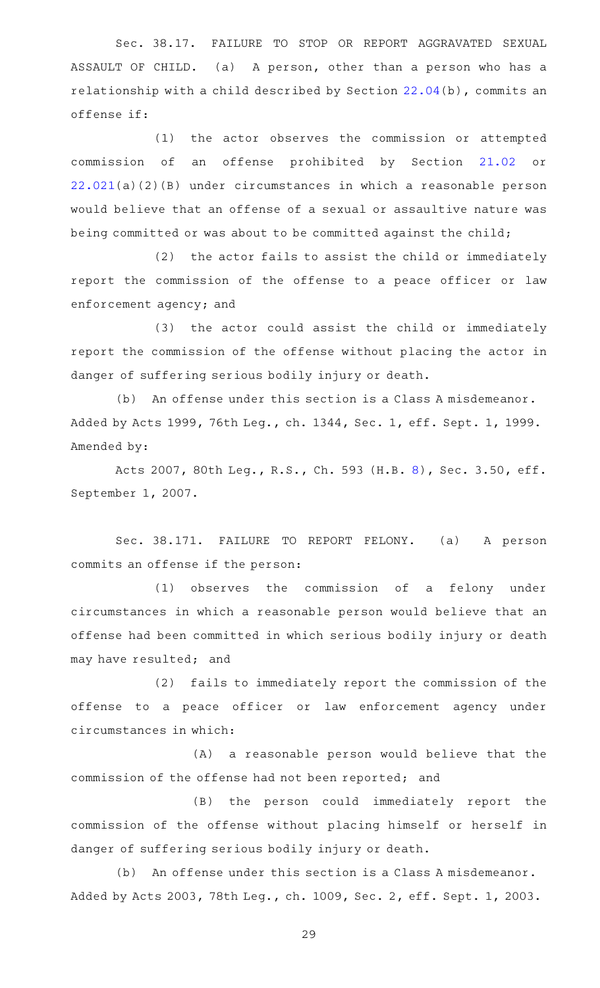Sec. 38.17. FAILURE TO STOP OR REPORT AGGRAVATED SEXUAL ASSAULT OF CHILD. (a) A person, other than a person who has a relationship with a child described by Section [22.04](http://www.statutes.legis.state.tx.us/GetStatute.aspx?Code=PE&Value=22.04)(b), commits an offense if:

(1) the actor observes the commission or attempted commission of an offense prohibited by Section [21.02](http://www.statutes.legis.state.tx.us/GetStatute.aspx?Code=PE&Value=21.02) or [22.021](http://www.statutes.legis.state.tx.us/GetStatute.aspx?Code=PE&Value=22.021)(a)(2)(B) under circumstances in which a reasonable person would believe that an offense of a sexual or assaultive nature was being committed or was about to be committed against the child;

 $(2)$  the actor fails to assist the child or immediately report the commission of the offense to a peace officer or law enforcement agency; and

(3) the actor could assist the child or immediately report the commission of the offense without placing the actor in danger of suffering serious bodily injury or death.

(b) An offense under this section is a Class A misdemeanor. Added by Acts 1999, 76th Leg., ch. 1344, Sec. 1, eff. Sept. 1, 1999. Amended by:

Acts 2007, 80th Leg., R.S., Ch. 593 (H.B. [8\)](http://www.legis.state.tx.us/tlodocs/80R/billtext/html/HB00008F.HTM), Sec. 3.50, eff. September 1, 2007.

Sec. 38.171. FAILURE TO REPORT FELONY. (a) A person commits an offense if the person:

(1) observes the commission of a felony under circumstances in which a reasonable person would believe that an offense had been committed in which serious bodily injury or death may have resulted; and

(2) fails to immediately report the commission of the offense to a peace officer or law enforcement agency under circumstances in which:

(A) a reasonable person would believe that the commission of the offense had not been reported; and

(B) the person could immediately report the commission of the offense without placing himself or herself in danger of suffering serious bodily injury or death.

(b) An offense under this section is a Class A misdemeanor. Added by Acts 2003, 78th Leg., ch. 1009, Sec. 2, eff. Sept. 1, 2003.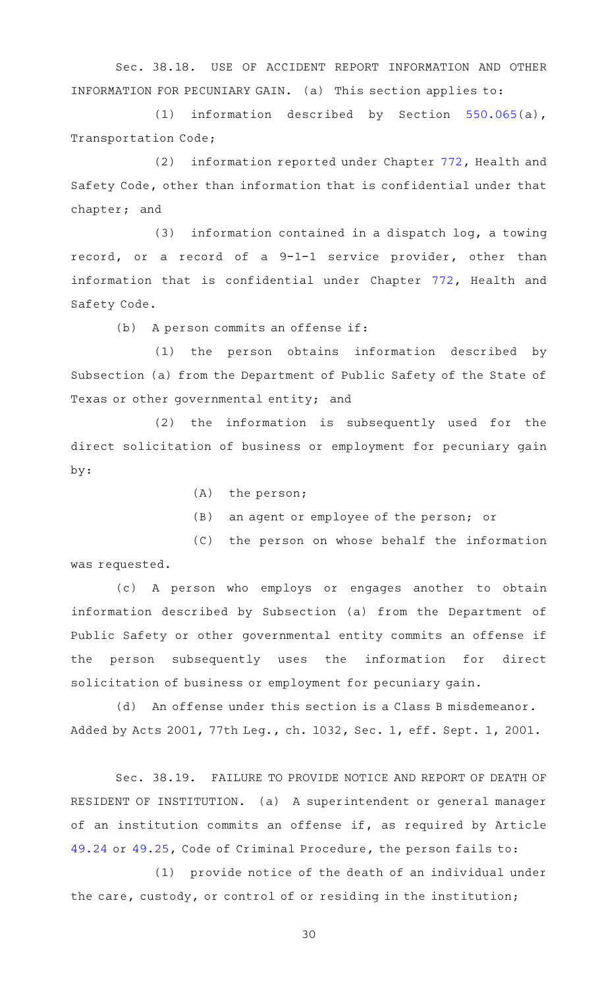Sec. 38.18. USE OF ACCIDENT REPORT INFORMATION AND OTHER INFORMATION FOR PECUNIARY GAIN. (a) This section applies to:

(1) information described by Section  $550.065(a)$  $550.065(a)$ , Transportation Code;

(2) information reported under Chapter [772,](http://www.statutes.legis.state.tx.us/GetStatute.aspx?Code=HS&Value=772) Health and Safety Code, other than information that is confidential under that chapter; and

 $(3)$  information contained in a dispatch log, a towing record, or a record of a 9-1-1 service provider, other than information that is confidential under Chapter [772,](http://www.statutes.legis.state.tx.us/GetStatute.aspx?Code=HS&Value=772) Health and Safety Code.

 $(b)$  A person commits an offense if:

 $(1)$  the person obtains information described by Subsection (a) from the Department of Public Safety of the State of Texas or other governmental entity; and

(2) the information is subsequently used for the direct solicitation of business or employment for pecuniary gain by:

- $(A)$  the person;
- (B) an agent or employee of the person; or

(C) the person on whose behalf the information was requested.

(c)AAA person who employs or engages another to obtain information described by Subsection (a) from the Department of Public Safety or other governmental entity commits an offense if the person subsequently uses the information for direct solicitation of business or employment for pecuniary gain.

(d) An offense under this section is a Class B misdemeanor. Added by Acts 2001, 77th Leg., ch. 1032, Sec. 1, eff. Sept. 1, 2001.

Sec. 38.19. FAILURE TO PROVIDE NOTICE AND REPORT OF DEATH OF RESIDENT OF INSTITUTION. (a) A superintendent or general manager of an institution commits an offense if, as required by Article [49.24](http://www.statutes.legis.state.tx.us/GetStatute.aspx?Code=CR&Value=49.24) or [49.25,](http://www.statutes.legis.state.tx.us/GetStatute.aspx?Code=CR&Value=49.25) Code of Criminal Procedure, the person fails to:

 $(1)$  provide notice of the death of an individual under the care, custody, or control of or residing in the institution;